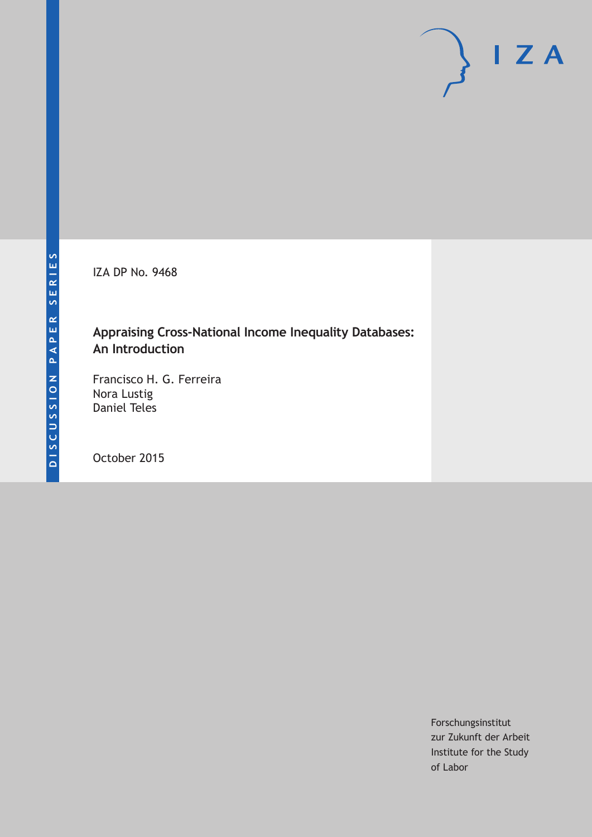IZA DP No. 9468

## **Appraising Cross-National Income Inequality Databases: An Introduction**

Francisco H. G. Ferreira Nora Lustig Daniel Teles

October 2015

Forschungsinstitut zur Zukunft der Arbeit Institute for the Study of Labor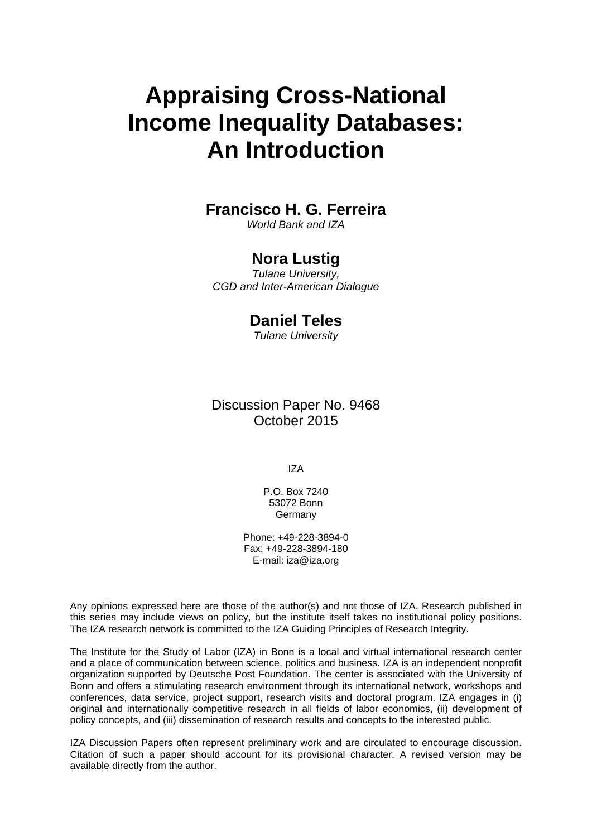# **Appraising Cross-National Income Inequality Databases: An Introduction**

## **Francisco H. G. Ferreira**

*World Bank and IZA* 

## **Nora Lustig**

*Tulane University, CGD and Inter-American Dialogue* 

## **Daniel Teles**

*Tulane University*

Discussion Paper No. 9468 October 2015

IZA

P.O. Box 7240 53072 Bonn **Germany** 

Phone: +49-228-3894-0 Fax: +49-228-3894-180 E-mail: iza@iza.org

Any opinions expressed here are those of the author(s) and not those of IZA. Research published in this series may include views on policy, but the institute itself takes no institutional policy positions. The IZA research network is committed to the IZA Guiding Principles of Research Integrity.

The Institute for the Study of Labor (IZA) in Bonn is a local and virtual international research center and a place of communication between science, politics and business. IZA is an independent nonprofit organization supported by Deutsche Post Foundation. The center is associated with the University of Bonn and offers a stimulating research environment through its international network, workshops and conferences, data service, project support, research visits and doctoral program. IZA engages in (i) original and internationally competitive research in all fields of labor economics, (ii) development of policy concepts, and (iii) dissemination of research results and concepts to the interested public.

IZA Discussion Papers often represent preliminary work and are circulated to encourage discussion. Citation of such a paper should account for its provisional character. A revised version may be available directly from the author.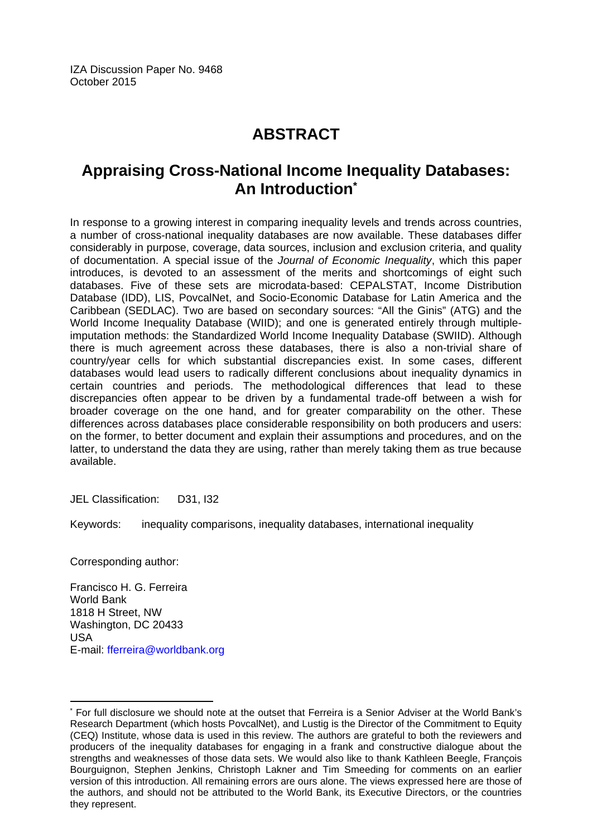## **ABSTRACT**

## **Appraising Cross-National Income Inequality Databases: An Introduction\***

In response to a growing interest in comparing inequality levels and trends across countries, a number of cross-national inequality databases are now available. These databases differ considerably in purpose, coverage, data sources, inclusion and exclusion criteria, and quality of documentation. A special issue of the *Journal of Economic Inequality*, which this paper introduces, is devoted to an assessment of the merits and shortcomings of eight such databases. Five of these sets are microdata-based: CEPALSTAT, Income Distribution Database (IDD), LIS, PovcalNet, and Socio-Economic Database for Latin America and the Caribbean (SEDLAC). Two are based on secondary sources: "All the Ginis" (ATG) and the World Income Inequality Database (WIID); and one is generated entirely through multipleimputation methods: the Standardized World Income Inequality Database (SWIID). Although there is much agreement across these databases, there is also a non-trivial share of country/year cells for which substantial discrepancies exist. In some cases, different databases would lead users to radically different conclusions about inequality dynamics in certain countries and periods. The methodological differences that lead to these discrepancies often appear to be driven by a fundamental trade-off between a wish for broader coverage on the one hand, and for greater comparability on the other. These differences across databases place considerable responsibility on both producers and users: on the former, to better document and explain their assumptions and procedures, and on the latter, to understand the data they are using, rather than merely taking them as true because available.

JEL Classification: D31, I32

Keywords: inequality comparisons, inequality databases, international inequality

Corresponding author:

 $\overline{\phantom{a}}$ 

Francisco H. G. Ferreira World Bank 1818 H Street, NW Washington, DC 20433 USA E-mail: fferreira@worldbank.org

<sup>\*</sup> For full disclosure we should note at the outset that Ferreira is a Senior Adviser at the World Bank's Research Department (which hosts PovcalNet), and Lustig is the Director of the Commitment to Equity (CEQ) Institute, whose data is used in this review. The authors are grateful to both the reviewers and producers of the inequality databases for engaging in a frank and constructive dialogue about the strengths and weaknesses of those data sets. We would also like to thank Kathleen Beegle, François Bourguignon, Stephen Jenkins, Christoph Lakner and Tim Smeeding for comments on an earlier version of this introduction. All remaining errors are ours alone. The views expressed here are those of the authors, and should not be attributed to the World Bank, its Executive Directors, or the countries they represent.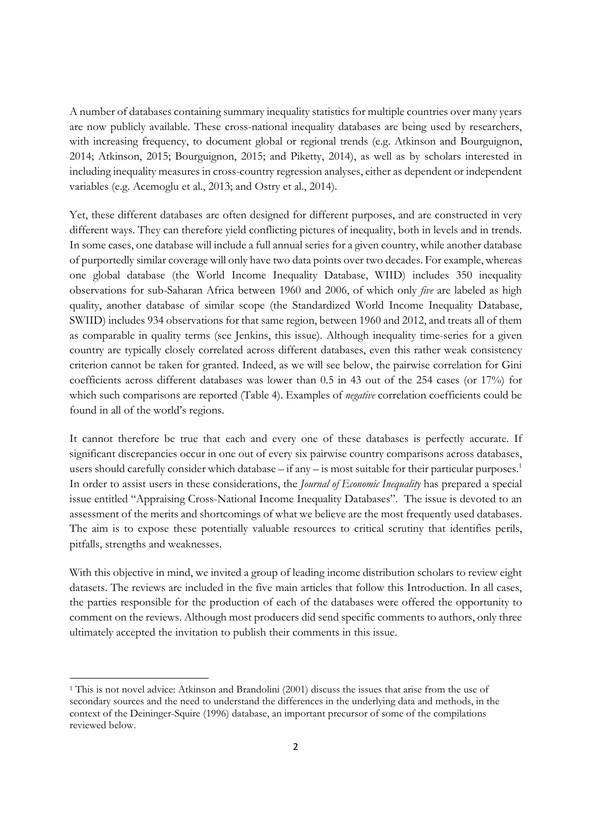A number of databases containing summary inequality statistics for multiple countries over many years are now publicly available. These cross-national inequality databases are being used by researchers, with increasing frequency, to document global or regional trends (e.g. Atkinson and Bourguignon, 2014; Atkinson, 2015; Bourguignon, 2015; and Piketty, 2014), as well as by scholars interested in including inequality measures in cross-country regression analyses, either as dependent or independent variables (e.g. Acemoglu et al., 2013; and Ostry et al., 2014).

Yet, these different databases are often designed for different purposes, and are constructed in very different ways. They can therefore yield conflicting pictures of inequality, both in levels and in trends. In some cases, one database will include a full annual series for a given country, while another database of purportedly similar coverage will only have two data points over two decades. For example, whereas one global database (the World Income Inequality Database, WIID) includes 350 inequality observations for sub-Saharan Africa between 1960 and 2006, of which only *five* are labeled as high quality, another database of similar scope (the Standardized World Income Inequality Database, SWIID) includes 934 observations for that same region, between 1960 and 2012, and treats all of them as comparable in quality terms (see Jenkins, this issue). Although inequality time-series for a given country are typically closely correlated across different databases, even this rather weak consistency criterion cannot be taken for granted. Indeed, as we will see below, the pairwise correlation for Gini coefficients across different databases was lower than 0.5 in 43 out of the 254 cases (or 17%) for which such comparisons are reported (Table 4). Examples of *negative* correlation coefficients could be found in all of the world's regions.

It cannot therefore be true that each and every one of these databases is perfectly accurate. If significant discrepancies occur in one out of every six pairwise country comparisons across databases, users should carefully consider which database – if any – is most suitable for their particular purposes.<sup>1</sup> In order to assist users in these considerations, the *Journal of Economic Inequality* has prepared a special issue entitled "Appraising Cross-National Income Inequality Databases". The issue is devoted to an assessment of the merits and shortcomings of what we believe are the most frequently used databases. The aim is to expose these potentially valuable resources to critical scrutiny that identifies perils, pitfalls, strengths and weaknesses.

With this objective in mind, we invited a group of leading income distribution scholars to review eight datasets. The reviews are included in the five main articles that follow this Introduction. In all cases, the parties responsible for the production of each of the databases were offered the opportunity to comment on the reviews. Although most producers did send specific comments to authors, only three ultimately accepted the invitation to publish their comments in this issue.

<sup>1</sup> This is not novel advice: Atkinson and Brandolini (2001) discuss the issues that arise from the use of secondary sources and the need to understand the differences in the underlying data and methods, in the context of the Deininger-Squire (1996) database, an important precursor of some of the compilations reviewed below.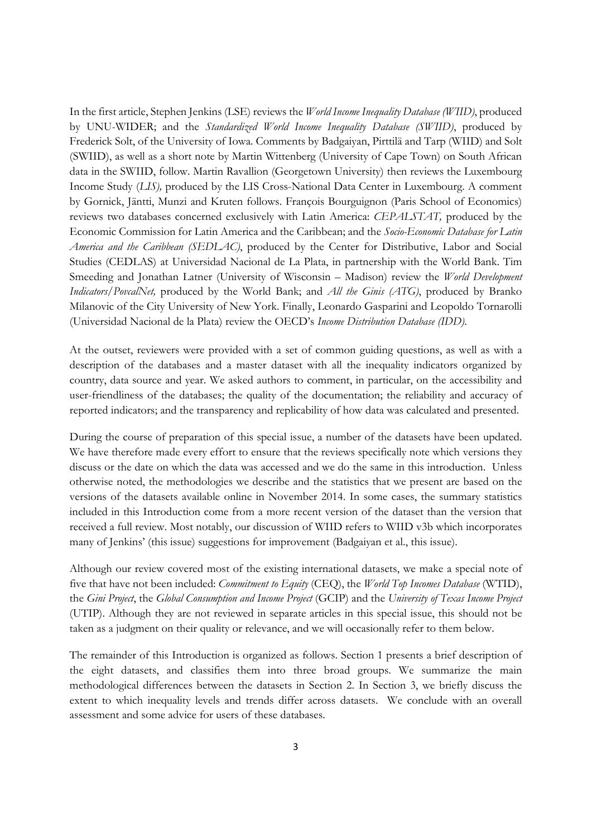In the first article, Stephen Jenkins (LSE) reviews the *World Income Inequality Database (WIID)*, produced by UNU-WIDER; and the *Standardized World Income Inequality Database (SWIID)*, produced by Frederick Solt, of the University of Iowa. Comments by Badgaiyan, Pirttilä and Tarp (WIID) and Solt (SWIID), as well as a short note by Martin Wittenberg (University of Cape Town) on South African data in the SWIID, follow. Martin Ravallion (Georgetown University) then reviews the Luxembourg Income Study (*LIS),* produced by the LIS Cross-National Data Center in Luxembourg. A comment by Gornick, Jäntti, Munzi and Kruten follows. François Bourguignon (Paris School of Economics) reviews two databases concerned exclusively with Latin America: *CEPALSTAT,* produced by the Economic Commission for Latin America and the Caribbean; and the *Socio-Economic Database for Latin America and the Caribbean (SEDLAC)*, produced by the Center for Distributive, Labor and Social Studies (CEDLAS) at Universidad Nacional de La Plata, in partnership with the World Bank. Tim Smeeding and Jonathan Latner (University of Wisconsin – Madison) review the *World Development Indicators/PovcalNet,* produced by the World Bank; and *All the Ginis (ATG)*, produced by Branko Milanovic of the City University of New York. Finally, Leonardo Gasparini and Leopoldo Tornarolli (Universidad Nacional de la Plata) review the OECD's *Income Distribution Database (IDD)*.

At the outset, reviewers were provided with a set of common guiding questions, as well as with a description of the databases and a master dataset with all the inequality indicators organized by country, data source and year. We asked authors to comment, in particular, on the accessibility and user-friendliness of the databases; the quality of the documentation; the reliability and accuracy of reported indicators; and the transparency and replicability of how data was calculated and presented.

During the course of preparation of this special issue, a number of the datasets have been updated. We have therefore made every effort to ensure that the reviews specifically note which versions they discuss or the date on which the data was accessed and we do the same in this introduction. Unless otherwise noted, the methodologies we describe and the statistics that we present are based on the versions of the datasets available online in November 2014. In some cases, the summary statistics included in this Introduction come from a more recent version of the dataset than the version that received a full review. Most notably, our discussion of WIID refers to WIID v3b which incorporates many of Jenkins' (this issue) suggestions for improvement (Badgaiyan et al., this issue).

Although our review covered most of the existing international datasets, we make a special note of five that have not been included: *Commitment to Equity* (CEQ), the *World Top Incomes Database* (WTID), the *Gini Project*, the *Global Consumption and Income Project* (GCIP) and the *University of Texas Income Project* (UTIP). Although they are not reviewed in separate articles in this special issue, this should not be taken as a judgment on their quality or relevance, and we will occasionally refer to them below.

The remainder of this Introduction is organized as follows. Section 1 presents a brief description of the eight datasets, and classifies them into three broad groups. We summarize the main methodological differences between the datasets in Section 2. In Section 3, we briefly discuss the extent to which inequality levels and trends differ across datasets. We conclude with an overall assessment and some advice for users of these databases.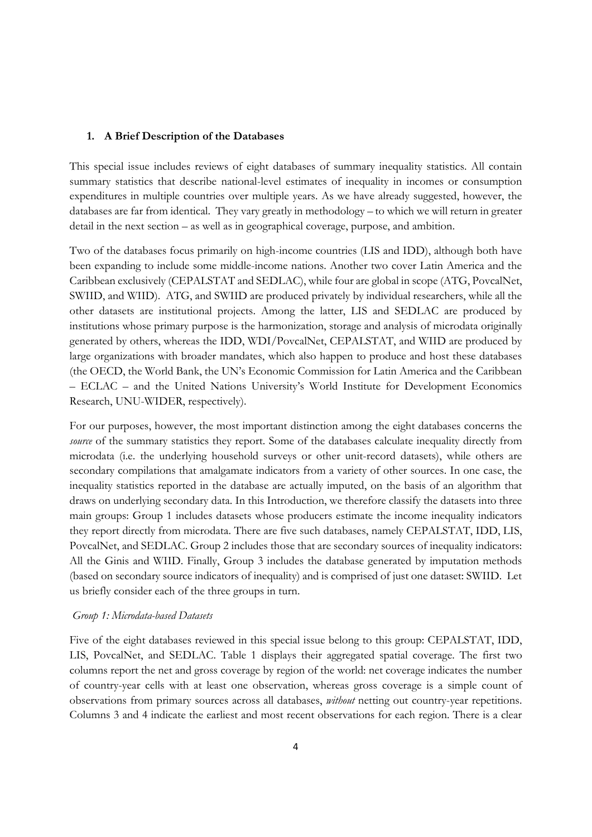#### **1. A Brief Description of the Databases**

This special issue includes reviews of eight databases of summary inequality statistics. All contain summary statistics that describe national-level estimates of inequality in incomes or consumption expenditures in multiple countries over multiple years. As we have already suggested, however, the databases are far from identical. They vary greatly in methodology – to which we will return in greater detail in the next section – as well as in geographical coverage, purpose, and ambition.

Two of the databases focus primarily on high-income countries (LIS and IDD), although both have been expanding to include some middle-income nations. Another two cover Latin America and the Caribbean exclusively (CEPALSTAT and SEDLAC), while four are global in scope (ATG, PovcalNet, SWIID, and WIID). ATG, and SWIID are produced privately by individual researchers, while all the other datasets are institutional projects. Among the latter, LIS and SEDLAC are produced by institutions whose primary purpose is the harmonization, storage and analysis of microdata originally generated by others, whereas the IDD, WDI/PovcalNet, CEPALSTAT, and WIID are produced by large organizations with broader mandates, which also happen to produce and host these databases (the OECD, the World Bank, the UN's Economic Commission for Latin America and the Caribbean – ECLAC – and the United Nations University's World Institute for Development Economics Research, UNU-WIDER, respectively).

For our purposes, however, the most important distinction among the eight databases concerns the *source* of the summary statistics they report. Some of the databases calculate inequality directly from microdata (i.e. the underlying household surveys or other unit-record datasets), while others are secondary compilations that amalgamate indicators from a variety of other sources. In one case, the inequality statistics reported in the database are actually imputed, on the basis of an algorithm that draws on underlying secondary data. In this Introduction, we therefore classify the datasets into three main groups: Group 1 includes datasets whose producers estimate the income inequality indicators they report directly from microdata. There are five such databases, namely CEPALSTAT, IDD, LIS, PovcalNet, and SEDLAC. Group 2 includes those that are secondary sources of inequality indicators: All the Ginis and WIID. Finally, Group 3 includes the database generated by imputation methods (based on secondary source indicators of inequality) and is comprised of just one dataset: SWIID. Let us briefly consider each of the three groups in turn.

#### *Group 1: Microdata-based Datasets*

Five of the eight databases reviewed in this special issue belong to this group: CEPALSTAT, IDD, LIS, PovcalNet, and SEDLAC. Table 1 displays their aggregated spatial coverage. The first two columns report the net and gross coverage by region of the world: net coverage indicates the number of country-year cells with at least one observation, whereas gross coverage is a simple count of observations from primary sources across all databases, *without* netting out country-year repetitions. Columns 3 and 4 indicate the earliest and most recent observations for each region. There is a clear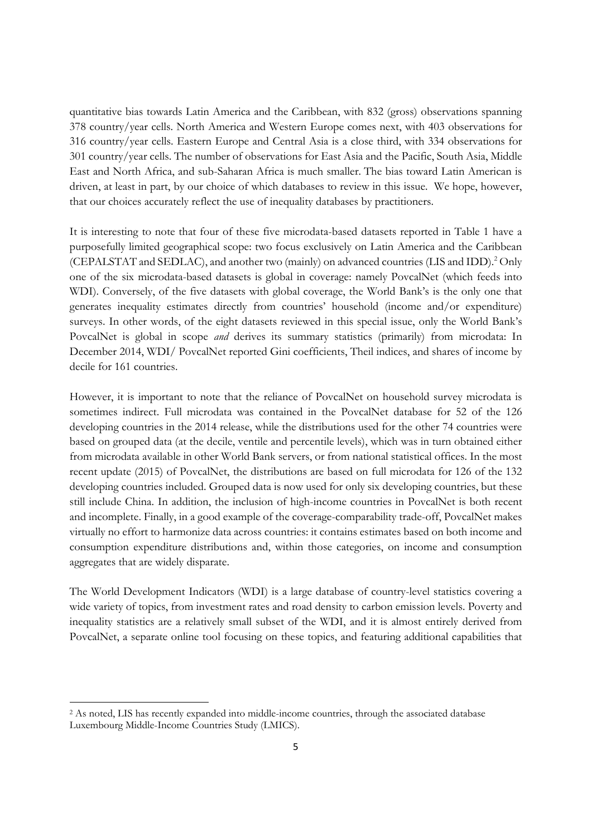quantitative bias towards Latin America and the Caribbean, with 832 (gross) observations spanning 378 country/year cells. North America and Western Europe comes next, with 403 observations for 316 country/year cells. Eastern Europe and Central Asia is a close third, with 334 observations for 301 country/year cells. The number of observations for East Asia and the Pacific, South Asia, Middle East and North Africa, and sub-Saharan Africa is much smaller. The bias toward Latin American is driven, at least in part, by our choice of which databases to review in this issue. We hope, however, that our choices accurately reflect the use of inequality databases by practitioners.

It is interesting to note that four of these five microdata-based datasets reported in Table 1 have a purposefully limited geographical scope: two focus exclusively on Latin America and the Caribbean (CEPALSTAT and SEDLAC), and another two (mainly) on advanced countries (LIS and IDD).<sup>2</sup> Only one of the six microdata-based datasets is global in coverage: namely PovcalNet (which feeds into WDI). Conversely, of the five datasets with global coverage, the World Bank's is the only one that generates inequality estimates directly from countries' household (income and/or expenditure) surveys. In other words, of the eight datasets reviewed in this special issue, only the World Bank's PovcalNet is global in scope *and* derives its summary statistics (primarily) from microdata: In December 2014, WDI/ PovcalNet reported Gini coefficients, Theil indices, and shares of income by decile for 161 countries.

However, it is important to note that the reliance of PovcalNet on household survey microdata is sometimes indirect. Full microdata was contained in the PovcalNet database for 52 of the 126 developing countries in the 2014 release, while the distributions used for the other 74 countries were based on grouped data (at the decile, ventile and percentile levels), which was in turn obtained either from microdata available in other World Bank servers, or from national statistical offices. In the most recent update (2015) of PovcalNet, the distributions are based on full microdata for 126 of the 132 developing countries included. Grouped data is now used for only six developing countries, but these still include China. In addition, the inclusion of high-income countries in PovcalNet is both recent and incomplete. Finally, in a good example of the coverage-comparability trade-off, PovcalNet makes virtually no effort to harmonize data across countries: it contains estimates based on both income and consumption expenditure distributions and, within those categories, on income and consumption aggregates that are widely disparate.

The World Development Indicators (WDI) is a large database of country-level statistics covering a wide variety of topics, from investment rates and road density to carbon emission levels. Poverty and inequality statistics are a relatively small subset of the WDI, and it is almost entirely derived from PovcalNet, a separate online tool focusing on these topics, and featuring additional capabilities that

<sup>2</sup> As noted, LIS has recently expanded into middle-income countries, through the associated database Luxembourg Middle-Income Countries Study (LMICS).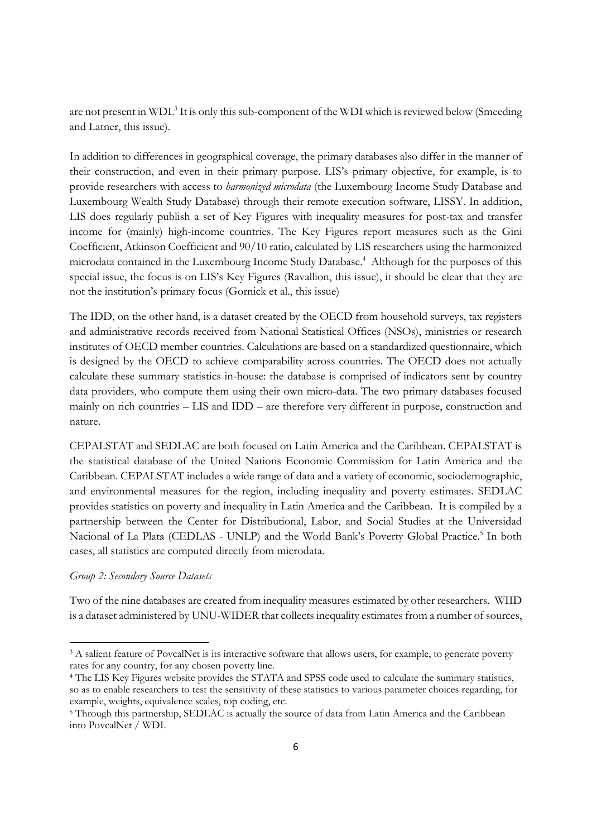are not present in WDI.<sup>3</sup> It is only this sub-component of the WDI which is reviewed below (Smeeding and Latner, this issue).

In addition to differences in geographical coverage, the primary databases also differ in the manner of their construction, and even in their primary purpose. LIS's primary objective, for example, is to provide researchers with access to *harmonized microdata* (the Luxembourg Income Study Database and Luxembourg Wealth Study Database) through their remote execution software, LISSY. In addition, LIS does regularly publish a set of Key Figures with inequality measures for post-tax and transfer income for (mainly) high-income countries. The Key Figures report measures such as the Gini Coefficient, Atkinson Coefficient and 90/10 ratio, calculated by LIS researchers using the harmonized microdata contained in the Luxembourg Income Study Database.<sup>4</sup> Although for the purposes of this special issue, the focus is on LIS's Key Figures (Ravallion, this issue), it should be clear that they are not the institution's primary focus (Gornick et al., this issue)

The IDD, on the other hand, is a dataset created by the OECD from household surveys, tax registers and administrative records received from National Statistical Offices (NSOs), ministries or research institutes of OECD member countries. Calculations are based on a standardized questionnaire, which is designed by the OECD to achieve comparability across countries. The OECD does not actually calculate these summary statistics in-house: the database is comprised of indicators sent by country data providers, who compute them using their own micro-data. The two primary databases focused mainly on rich countries – LIS and IDD – are therefore very different in purpose, construction and nature.

CEPALSTAT and SEDLAC are both focused on Latin America and the Caribbean. CEPALSTAT is the statistical database of the United Nations Economic Commission for Latin America and the Caribbean. CEPALSTAT includes a wide range of data and a variety of economic, sociodemographic, and environmental measures for the region, including inequality and poverty estimates. SEDLAC provides statistics on poverty and inequality in Latin America and the Caribbean. It is compiled by a partnership between the Center for Distributional, Labor, and Social Studies at the Universidad Nacional of La Plata (CEDLAS - UNLP) and the World Bank's Poverty Global Practice.<sup>5</sup> In both cases, all statistics are computed directly from microdata.

#### *Group 2: Secondary Source Datasets*

Two of the nine databases are created from inequality measures estimated by other researchers. WIID is a dataset administered by UNU-WIDER that collects inequality estimates from a number of sources,

 <sup>3</sup> A salient feature of PovcalNet is its interactive software that allows users, for example, to generate poverty rates for any country, for any chosen poverty line.

<sup>4</sup> The LIS Key Figures website provides the STATA and SPSS code used to calculate the summary statistics, so as to enable researchers to test the sensitivity of these statistics to various parameter choices regarding, for example, weights, equivalence scales, top coding, etc.

<sup>5</sup> Through this partnership, SEDLAC is actually the source of data from Latin America and the Caribbean into PovcalNet / WDI.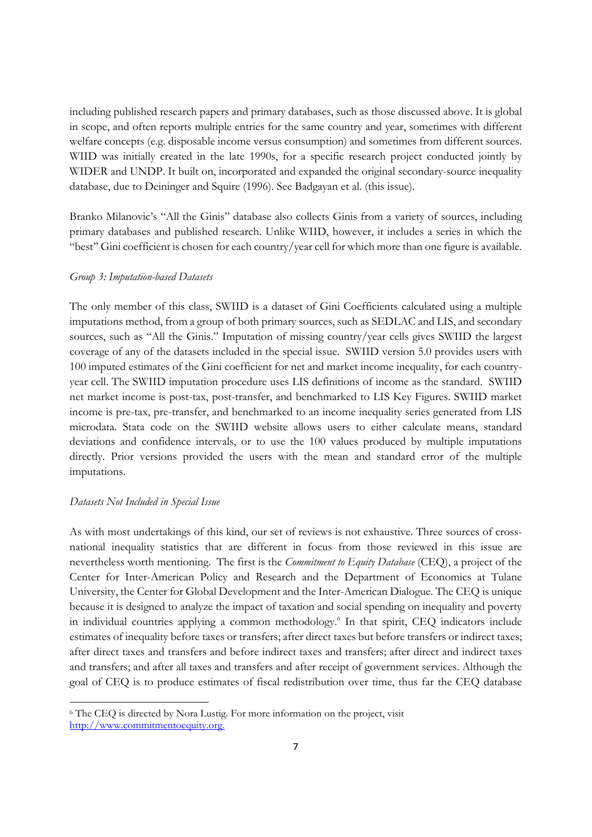including published research papers and primary databases, such as those discussed above. It is global in scope, and often reports multiple entries for the same country and year, sometimes with different welfare concepts (e.g. disposable income versus consumption) and sometimes from different sources. WIID was initially created in the late 1990s, for a specific research project conducted jointly by WIDER and UNDP. It built on, incorporated and expanded the original secondary-source inequality database, due to Deininger and Squire (1996). See Badgayan et al. (this issue).

Branko Milanovic's "All the Ginis" database also collects Ginis from a variety of sources, including primary databases and published research. Unlike WIID, however, it includes a series in which the "best'' Gini coefficient is chosen for each country/year cell for which more than one figure is available.

#### *Group 3: Imputation-based Datasets*

The only member of this class, SWIID is a dataset of Gini Coefficients calculated using a multiple imputations method, from a group of both primary sources, such as SEDLAC and LIS, and secondary sources, such as "All the Ginis." Imputation of missing country/year cells gives SWIID the largest coverage of any of the datasets included in the special issue. SWIID version 5.0 provides users with 100 imputed estimates of the Gini coefficient for net and market income inequality, for each countryyear cell. The SWIID imputation procedure uses LIS definitions of income as the standard. SWIID net market income is post-tax, post-transfer, and benchmarked to LIS Key Figures. SWIID market income is pre-tax, pre-transfer, and benchmarked to an income inequality series generated from LIS microdata. Stata code on the SWIID website allows users to either calculate means, standard deviations and confidence intervals, or to use the 100 values produced by multiple imputations directly. Prior versions provided the users with the mean and standard error of the multiple imputations.

#### *Datasets Not Included in Special Issue*

As with most undertakings of this kind, our set of reviews is not exhaustive. Three sources of crossnational inequality statistics that are different in focus from those reviewed in this issue are nevertheless worth mentioning. The first is the *Commitment to Equity Database* (CEQ), a project of the Center for Inter-American Policy and Research and the Department of Economics at Tulane University, the Center for Global Development and the Inter-American Dialogue. The CEQ is unique because it is designed to analyze the impact of taxation and social spending on inequality and poverty in individual countries applying a common methodology.6 In that spirit, CEQ indicators include estimates of inequality before taxes or transfers; after direct taxes but before transfers or indirect taxes; after direct taxes and transfers and before indirect taxes and transfers; after direct and indirect taxes and transfers; and after all taxes and transfers and after receipt of government services. Although the goal of CEQ is to produce estimates of fiscal redistribution over time, thus far the CEQ database

<sup>6</sup> The CEQ is directed by Nora Lustig. For more information on the project, visit http://www.commitmentoequity.org.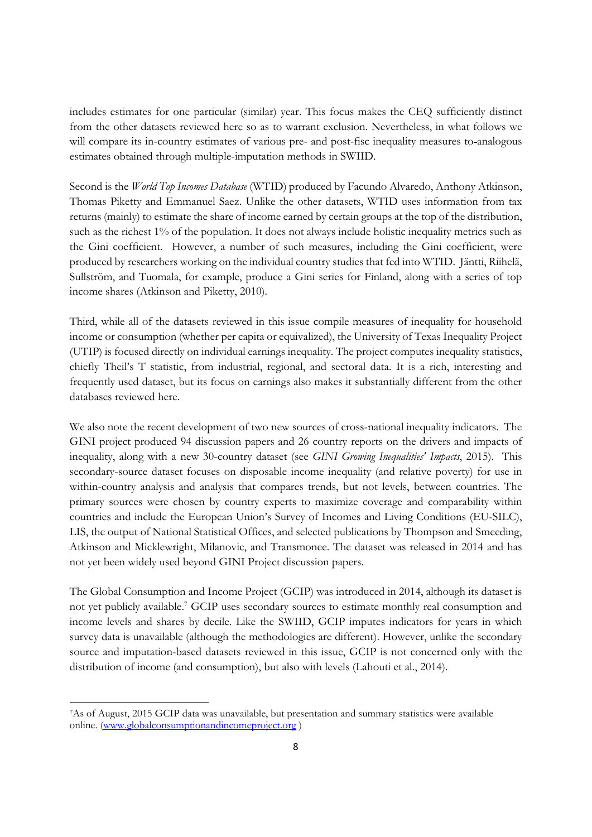includes estimates for one particular (similar) year. This focus makes the CEQ sufficiently distinct from the other datasets reviewed here so as to warrant exclusion. Nevertheless, in what follows we will compare its in-country estimates of various pre- and post-fisc inequality measures to analogous estimates obtained through multiple-imputation methods in SWIID.

Second is the *World Top Incomes Database* (WTID) produced by Facundo Alvaredo, Anthony Atkinson, Thomas Piketty and Emmanuel Saez. Unlike the other datasets, WTID uses information from tax returns (mainly) to estimate the share of income earned by certain groups at the top of the distribution, such as the richest 1% of the population. It does not always include holistic inequality metrics such as the Gini coefficient. However, a number of such measures, including the Gini coefficient, were produced by researchers working on the individual country studies that fed into WTID. Jäntti, Riihelä, Sullström, and Tuomala, for example, produce a Gini series for Finland, along with a series of top income shares (Atkinson and Piketty, 2010).

Third, while all of the datasets reviewed in this issue compile measures of inequality for household income or consumption (whether per capita or equivalized), the University of Texas Inequality Project (UTIP) is focused directly on individual earnings inequality. The project computes inequality statistics, chiefly Theil's T statistic, from industrial, regional, and sectoral data. It is a rich, interesting and frequently used dataset, but its focus on earnings also makes it substantially different from the other databases reviewed here.

We also note the recent development of two new sources of cross-national inequality indicators. The GINI project produced 94 discussion papers and 26 country reports on the drivers and impacts of inequality, along with a new 30-country dataset (see *GINI Growing Inequalities' Impacts*, 2015). This secondary-source dataset focuses on disposable income inequality (and relative poverty) for use in within-country analysis and analysis that compares trends, but not levels, between countries. The primary sources were chosen by country experts to maximize coverage and comparability within countries and include the European Union's Survey of Incomes and Living Conditions (EU-SILC), LIS, the output of National Statistical Offices, and selected publications by Thompson and Smeeding, Atkinson and Micklewright, Milanovic, and Transmonee. The dataset was released in 2014 and has not yet been widely used beyond GINI Project discussion papers.

The Global Consumption and Income Project (GCIP) was introduced in 2014, although its dataset is not yet publicly available.<sup>7</sup> GCIP uses secondary sources to estimate monthly real consumption and income levels and shares by decile. Like the SWIID, GCIP imputes indicators for years in which survey data is unavailable (although the methodologies are different). However, unlike the secondary source and imputation-based datasets reviewed in this issue, GCIP is not concerned only with the distribution of income (and consumption), but also with levels (Lahouti et al., 2014).

<sup>7</sup>As of August, 2015 GCIP data was unavailable, but presentation and summary statistics were available online. (www.globalconsumptionandincomeproject.org )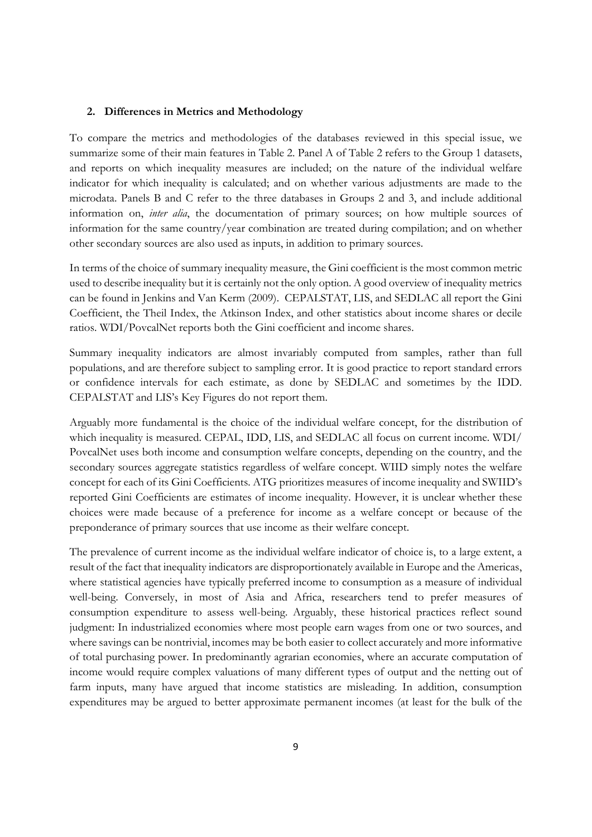#### **2. Differences in Metrics and Methodology**

To compare the metrics and methodologies of the databases reviewed in this special issue, we summarize some of their main features in Table 2. Panel A of Table 2 refers to the Group 1 datasets, and reports on which inequality measures are included; on the nature of the individual welfare indicator for which inequality is calculated; and on whether various adjustments are made to the microdata. Panels B and C refer to the three databases in Groups 2 and 3, and include additional information on, *inter alia*, the documentation of primary sources; on how multiple sources of information for the same country/year combination are treated during compilation; and on whether other secondary sources are also used as inputs, in addition to primary sources.

In terms of the choice of summary inequality measure, the Gini coefficient is the most common metric used to describe inequality but it is certainly not the only option. A good overview of inequality metrics can be found in Jenkins and Van Kerm (2009). CEPALSTAT, LIS, and SEDLAC all report the Gini Coefficient, the Theil Index, the Atkinson Index, and other statistics about income shares or decile ratios. WDI/PovcalNet reports both the Gini coefficient and income shares.

Summary inequality indicators are almost invariably computed from samples, rather than full populations, and are therefore subject to sampling error. It is good practice to report standard errors or confidence intervals for each estimate, as done by SEDLAC and sometimes by the IDD. CEPALSTAT and LIS's Key Figures do not report them.

Arguably more fundamental is the choice of the individual welfare concept, for the distribution of which inequality is measured. CEPAL, IDD, LIS, and SEDLAC all focus on current income. WDI/ PovcalNet uses both income and consumption welfare concepts, depending on the country, and the secondary sources aggregate statistics regardless of welfare concept. WIID simply notes the welfare concept for each of its Gini Coefficients. ATG prioritizes measures of income inequality and SWIID's reported Gini Coefficients are estimates of income inequality. However, it is unclear whether these choices were made because of a preference for income as a welfare concept or because of the preponderance of primary sources that use income as their welfare concept.

The prevalence of current income as the individual welfare indicator of choice is, to a large extent, a result of the fact that inequality indicators are disproportionately available in Europe and the Americas, where statistical agencies have typically preferred income to consumption as a measure of individual well-being. Conversely, in most of Asia and Africa, researchers tend to prefer measures of consumption expenditure to assess well-being. Arguably, these historical practices reflect sound judgment: In industrialized economies where most people earn wages from one or two sources, and where savings can be nontrivial, incomes may be both easier to collect accurately and more informative of total purchasing power. In predominantly agrarian economies, where an accurate computation of income would require complex valuations of many different types of output and the netting out of farm inputs, many have argued that income statistics are misleading. In addition, consumption expenditures may be argued to better approximate permanent incomes (at least for the bulk of the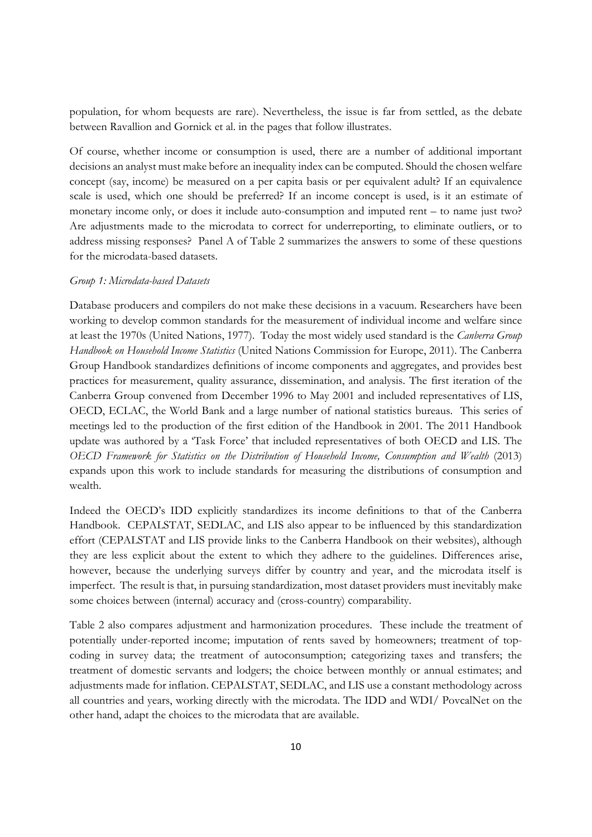population, for whom bequests are rare). Nevertheless, the issue is far from settled, as the debate between Ravallion and Gornick et al. in the pages that follow illustrates.

Of course, whether income or consumption is used, there are a number of additional important decisions an analyst must make before an inequality index can be computed. Should the chosen welfare concept (say, income) be measured on a per capita basis or per equivalent adult? If an equivalence scale is used, which one should be preferred? If an income concept is used, is it an estimate of monetary income only, or does it include auto-consumption and imputed rent – to name just two? Are adjustments made to the microdata to correct for underreporting, to eliminate outliers, or to address missing responses? Panel A of Table 2 summarizes the answers to some of these questions for the microdata-based datasets.

#### *Group 1: Microdata-based Datasets*

Database producers and compilers do not make these decisions in a vacuum. Researchers have been working to develop common standards for the measurement of individual income and welfare since at least the 1970s (United Nations, 1977). Today the most widely used standard is the *Canberra Group Handbook on Household Income Statistics* (United Nations Commission for Europe, 2011). The Canberra Group Handbook standardizes definitions of income components and aggregates, and provides best practices for measurement, quality assurance, dissemination, and analysis. The first iteration of the Canberra Group convened from December 1996 to May 2001 and included representatives of LIS, OECD, ECLAC, the World Bank and a large number of national statistics bureaus. This series of meetings led to the production of the first edition of the Handbook in 2001. The 2011 Handbook update was authored by a 'Task Force' that included representatives of both OECD and LIS. The *OECD Framework for Statistics on the Distribution of Household Income, Consumption and Wealth* (2013) expands upon this work to include standards for measuring the distributions of consumption and wealth.

Indeed the OECD's IDD explicitly standardizes its income definitions to that of the Canberra Handbook. CEPALSTAT, SEDLAC, and LIS also appear to be influenced by this standardization effort (CEPALSTAT and LIS provide links to the Canberra Handbook on their websites), although they are less explicit about the extent to which they adhere to the guidelines. Differences arise, however, because the underlying surveys differ by country and year, and the microdata itself is imperfect. The result is that, in pursuing standardization, most dataset providers must inevitably make some choices between (internal) accuracy and (cross-country) comparability.

Table 2 also compares adjustment and harmonization procedures. These include the treatment of potentially under-reported income; imputation of rents saved by homeowners; treatment of topcoding in survey data; the treatment of autoconsumption; categorizing taxes and transfers; the treatment of domestic servants and lodgers; the choice between monthly or annual estimates; and adjustments made for inflation. CEPALSTAT, SEDLAC, and LIS use a constant methodology across all countries and years, working directly with the microdata. The IDD and WDI/ PovcalNet on the other hand, adapt the choices to the microdata that are available.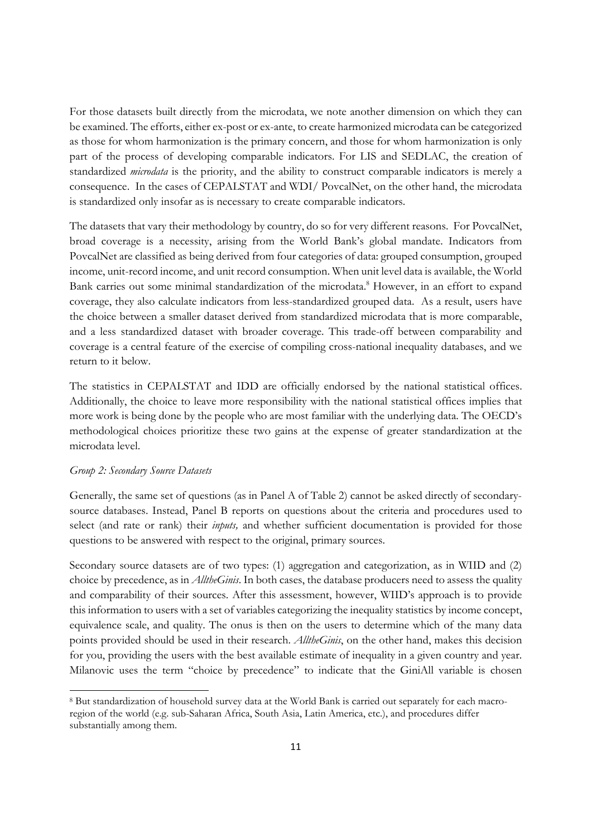For those datasets built directly from the microdata, we note another dimension on which they can be examined. The efforts, either ex-post or ex-ante, to create harmonized microdata can be categorized as those for whom harmonization is the primary concern, and those for whom harmonization is only part of the process of developing comparable indicators. For LIS and SEDLAC, the creation of standardized *microdata* is the priority, and the ability to construct comparable indicators is merely a consequence. In the cases of CEPALSTAT and WDI/ PovcalNet, on the other hand, the microdata is standardized only insofar as is necessary to create comparable indicators.

The datasets that vary their methodology by country, do so for very different reasons. For PovcalNet, broad coverage is a necessity, arising from the World Bank's global mandate. Indicators from PovcalNet are classified as being derived from four categories of data: grouped consumption, grouped income, unit-record income, and unit record consumption. When unit level data is available, the World Bank carries out some minimal standardization of the microdata.<sup>8</sup> However, in an effort to expand coverage, they also calculate indicators from less-standardized grouped data. As a result, users have the choice between a smaller dataset derived from standardized microdata that is more comparable, and a less standardized dataset with broader coverage. This trade-off between comparability and coverage is a central feature of the exercise of compiling cross-national inequality databases, and we return to it below.

The statistics in CEPALSTAT and IDD are officially endorsed by the national statistical offices. Additionally, the choice to leave more responsibility with the national statistical offices implies that more work is being done by the people who are most familiar with the underlying data. The OECD's methodological choices prioritize these two gains at the expense of greater standardization at the microdata level.

#### *Group 2: Secondary Source Datasets*

Generally, the same set of questions (as in Panel A of Table 2) cannot be asked directly of secondarysource databases. Instead, Panel B reports on questions about the criteria and procedures used to select (and rate or rank) their *inputs,* and whether sufficient documentation is provided for those questions to be answered with respect to the original, primary sources.

Secondary source datasets are of two types: (1) aggregation and categorization, as in WIID and (2) choice by precedence, as in *AlltheGinis*. In both cases, the database producers need to assess the quality and comparability of their sources. After this assessment, however, WIID's approach is to provide this information to users with a set of variables categorizing the inequality statistics by income concept, equivalence scale, and quality. The onus is then on the users to determine which of the many data points provided should be used in their research. *AlltheGinis*, on the other hand, makes this decision for you, providing the users with the best available estimate of inequality in a given country and year. Milanovic uses the term "choice by precedence" to indicate that the GiniAll variable is chosen

<sup>8</sup> But standardization of household survey data at the World Bank is carried out separately for each macroregion of the world (e.g. sub-Saharan Africa, South Asia, Latin America, etc.), and procedures differ substantially among them.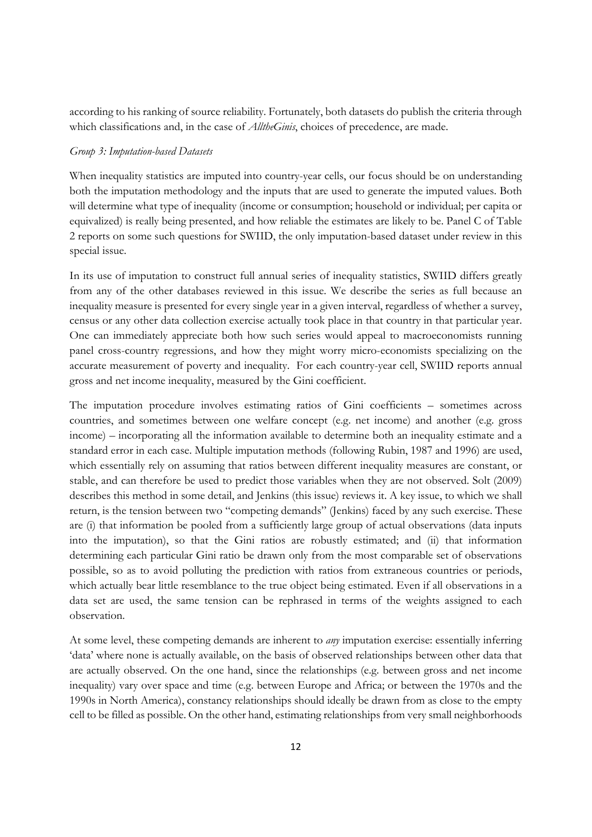according to his ranking of source reliability. Fortunately, both datasets do publish the criteria through which classifications and, in the case of *AlltheGinis*, choices of precedence, are made.

#### *Group 3: Imputation-based Datasets*

When inequality statistics are imputed into country-year cells, our focus should be on understanding both the imputation methodology and the inputs that are used to generate the imputed values. Both will determine what type of inequality (income or consumption; household or individual; per capita or equivalized) is really being presented, and how reliable the estimates are likely to be. Panel C of Table 2 reports on some such questions for SWIID, the only imputation-based dataset under review in this special issue.

In its use of imputation to construct full annual series of inequality statistics, SWIID differs greatly from any of the other databases reviewed in this issue. We describe the series as full because an inequality measure is presented for every single year in a given interval, regardless of whether a survey, census or any other data collection exercise actually took place in that country in that particular year. One can immediately appreciate both how such series would appeal to macroeconomists running panel cross-country regressions, and how they might worry micro-economists specializing on the accurate measurement of poverty and inequality. For each country-year cell, SWIID reports annual gross and net income inequality, measured by the Gini coefficient.

The imputation procedure involves estimating ratios of Gini coefficients – sometimes across countries, and sometimes between one welfare concept (e.g. net income) and another (e.g. gross income) – incorporating all the information available to determine both an inequality estimate and a standard error in each case. Multiple imputation methods (following Rubin, 1987 and 1996) are used, which essentially rely on assuming that ratios between different inequality measures are constant, or stable, and can therefore be used to predict those variables when they are not observed. Solt (2009) describes this method in some detail, and Jenkins (this issue) reviews it. A key issue, to which we shall return, is the tension between two "competing demands" (Jenkins) faced by any such exercise. These are (i) that information be pooled from a sufficiently large group of actual observations (data inputs into the imputation), so that the Gini ratios are robustly estimated; and (ii) that information determining each particular Gini ratio be drawn only from the most comparable set of observations possible, so as to avoid polluting the prediction with ratios from extraneous countries or periods, which actually bear little resemblance to the true object being estimated. Even if all observations in a data set are used, the same tension can be rephrased in terms of the weights assigned to each observation.

At some level, these competing demands are inherent to *any* imputation exercise: essentially inferring 'data' where none is actually available, on the basis of observed relationships between other data that are actually observed. On the one hand, since the relationships (e.g. between gross and net income inequality) vary over space and time (e.g. between Europe and Africa; or between the 1970s and the 1990s in North America), constancy relationships should ideally be drawn from as close to the empty cell to be filled as possible. On the other hand, estimating relationships from very small neighborhoods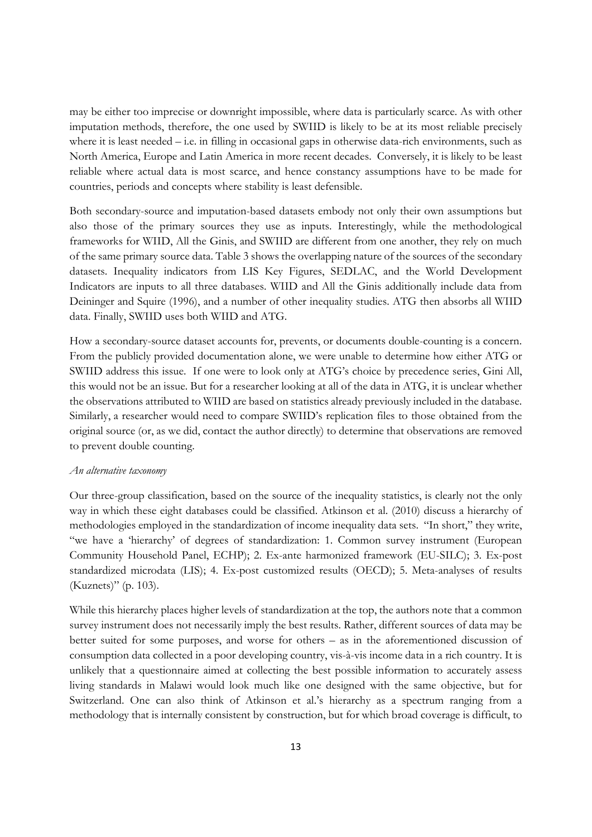may be either too imprecise or downright impossible, where data is particularly scarce. As with other imputation methods, therefore, the one used by SWIID is likely to be at its most reliable precisely where it is least needed – i.e. in filling in occasional gaps in otherwise data-rich environments, such as North America, Europe and Latin America in more recent decades. Conversely, it is likely to be least reliable where actual data is most scarce, and hence constancy assumptions have to be made for countries, periods and concepts where stability is least defensible.

Both secondary-source and imputation-based datasets embody not only their own assumptions but also those of the primary sources they use as inputs. Interestingly, while the methodological frameworks for WIID, All the Ginis, and SWIID are different from one another, they rely on much of the same primary source data. Table 3 shows the overlapping nature of the sources of the secondary datasets. Inequality indicators from LIS Key Figures, SEDLAC, and the World Development Indicators are inputs to all three databases. WIID and All the Ginis additionally include data from Deininger and Squire (1996), and a number of other inequality studies. ATG then absorbs all WIID data. Finally, SWIID uses both WIID and ATG.

How a secondary-source dataset accounts for, prevents, or documents double-counting is a concern. From the publicly provided documentation alone, we were unable to determine how either ATG or SWIID address this issue. If one were to look only at ATG's choice by precedence series, Gini All, this would not be an issue. But for a researcher looking at all of the data in ATG, it is unclear whether the observations attributed to WIID are based on statistics already previously included in the database. Similarly, a researcher would need to compare SWIID's replication files to those obtained from the original source (or, as we did, contact the author directly) to determine that observations are removed to prevent double counting.

#### *An alternative taxonomy*

Our three-group classification, based on the source of the inequality statistics, is clearly not the only way in which these eight databases could be classified. Atkinson et al. (2010) discuss a hierarchy of methodologies employed in the standardization of income inequality data sets. "In short," they write, "we have a 'hierarchy' of degrees of standardization: 1. Common survey instrument (European Community Household Panel, ECHP); 2. Ex-ante harmonized framework (EU-SILC); 3. Ex-post standardized microdata (LIS); 4. Ex-post customized results (OECD); 5. Meta-analyses of results (Kuznets)" (p. 103).

While this hierarchy places higher levels of standardization at the top, the authors note that a common survey instrument does not necessarily imply the best results. Rather, different sources of data may be better suited for some purposes, and worse for others – as in the aforementioned discussion of consumption data collected in a poor developing country, vis-à-vis income data in a rich country. It is unlikely that a questionnaire aimed at collecting the best possible information to accurately assess living standards in Malawi would look much like one designed with the same objective, but for Switzerland. One can also think of Atkinson et al.'s hierarchy as a spectrum ranging from a methodology that is internally consistent by construction, but for which broad coverage is difficult, to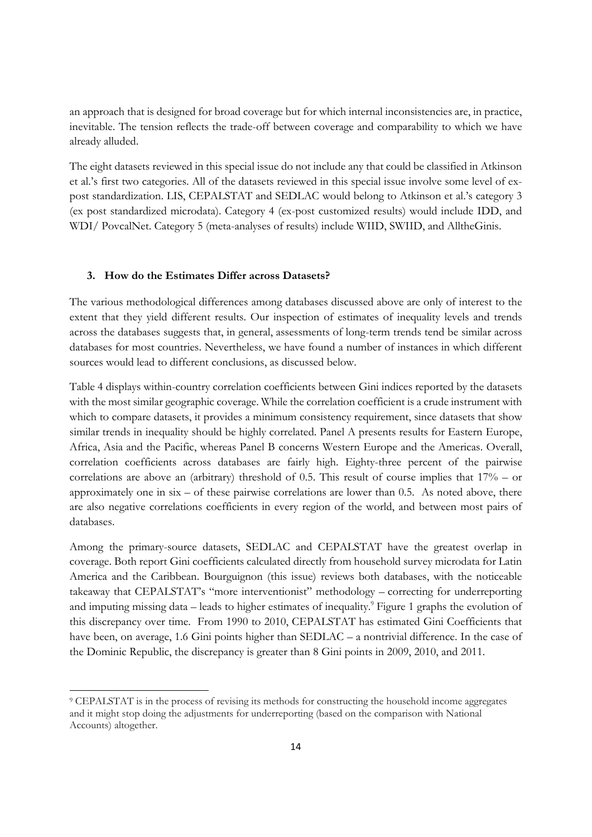an approach that is designed for broad coverage but for which internal inconsistencies are, in practice, inevitable. The tension reflects the trade-off between coverage and comparability to which we have already alluded.

The eight datasets reviewed in this special issue do not include any that could be classified in Atkinson et al.'s first two categories. All of the datasets reviewed in this special issue involve some level of expost standardization. LIS, CEPALSTAT and SEDLAC would belong to Atkinson et al.'s category 3 (ex post standardized microdata). Category 4 (ex-post customized results) would include IDD, and WDI/ PovcalNet. Category 5 (meta-analyses of results) include WIID, SWIID, and AlltheGinis.

#### **3. How do the Estimates Differ across Datasets?**

The various methodological differences among databases discussed above are only of interest to the extent that they yield different results. Our inspection of estimates of inequality levels and trends across the databases suggests that, in general, assessments of long-term trends tend be similar across databases for most countries. Nevertheless, we have found a number of instances in which different sources would lead to different conclusions, as discussed below.

Table 4 displays within-country correlation coefficients between Gini indices reported by the datasets with the most similar geographic coverage. While the correlation coefficient is a crude instrument with which to compare datasets, it provides a minimum consistency requirement, since datasets that show similar trends in inequality should be highly correlated. Panel A presents results for Eastern Europe, Africa, Asia and the Pacific, whereas Panel B concerns Western Europe and the Americas. Overall, correlation coefficients across databases are fairly high. Eighty-three percent of the pairwise correlations are above an (arbitrary) threshold of 0.5. This result of course implies that 17% – or approximately one in six – of these pairwise correlations are lower than 0.5. As noted above, there are also negative correlations coefficients in every region of the world, and between most pairs of databases.

Among the primary-source datasets, SEDLAC and CEPALSTAT have the greatest overlap in coverage. Both report Gini coefficients calculated directly from household survey microdata for Latin America and the Caribbean. Bourguignon (this issue) reviews both databases, with the noticeable takeaway that CEPALSTAT's "more interventionist" methodology – correcting for underreporting and imputing missing data – leads to higher estimates of inequality.<sup>9</sup> Figure 1 graphs the evolution of this discrepancy over time. From 1990 to 2010, CEPALSTAT has estimated Gini Coefficients that have been, on average, 1.6 Gini points higher than SEDLAC – a nontrivial difference. In the case of the Dominic Republic, the discrepancy is greater than 8 Gini points in 2009, 2010, and 2011.

<sup>9</sup> CEPALSTAT is in the process of revising its methods for constructing the household income aggregates and it might stop doing the adjustments for underreporting (based on the comparison with National Accounts) altogether.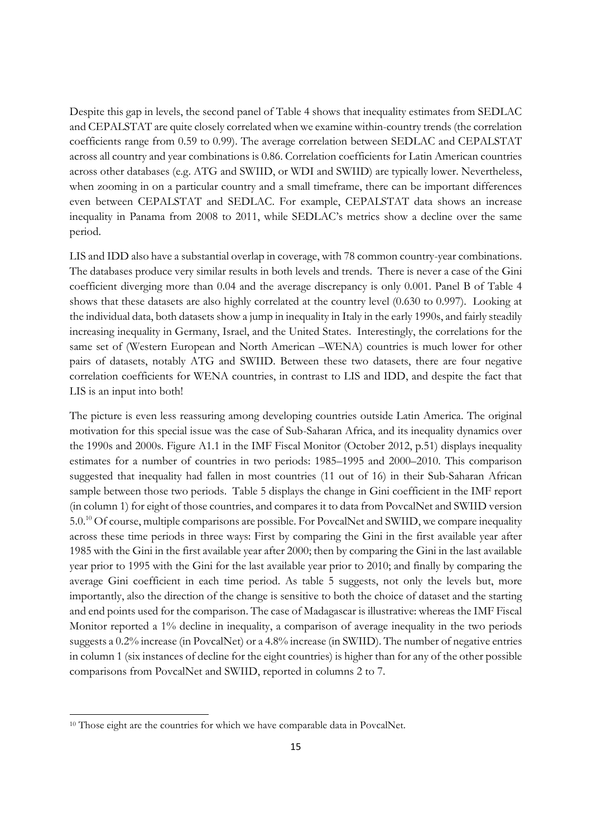Despite this gap in levels, the second panel of Table 4 shows that inequality estimates from SEDLAC and CEPALSTAT are quite closely correlated when we examine within-country trends (the correlation coefficients range from 0.59 to 0.99). The average correlation between SEDLAC and CEPALSTAT across all country and year combinations is 0.86. Correlation coefficients for Latin American countries across other databases (e.g. ATG and SWIID, or WDI and SWIID) are typically lower. Nevertheless, when zooming in on a particular country and a small timeframe, there can be important differences even between CEPALSTAT and SEDLAC. For example, CEPALSTAT data shows an increase inequality in Panama from 2008 to 2011, while SEDLAC's metrics show a decline over the same period.

LIS and IDD also have a substantial overlap in coverage, with 78 common country-year combinations. The databases produce very similar results in both levels and trends. There is never a case of the Gini coefficient diverging more than 0.04 and the average discrepancy is only 0.001. Panel B of Table 4 shows that these datasets are also highly correlated at the country level (0.630 to 0.997). Looking at the individual data, both datasets show a jump in inequality in Italy in the early 1990s, and fairly steadily increasing inequality in Germany, Israel, and the United States. Interestingly, the correlations for the same set of (Western European and North American –WENA) countries is much lower for other pairs of datasets, notably ATG and SWIID. Between these two datasets, there are four negative correlation coefficients for WENA countries, in contrast to LIS and IDD, and despite the fact that LIS is an input into both!

The picture is even less reassuring among developing countries outside Latin America. The original motivation for this special issue was the case of Sub-Saharan Africa, and its inequality dynamics over the 1990s and 2000s. Figure A1.1 in the IMF Fiscal Monitor (October 2012, p.51) displays inequality estimates for a number of countries in two periods: 1985–1995 and 2000–2010. This comparison suggested that inequality had fallen in most countries (11 out of 16) in their Sub-Saharan African sample between those two periods. Table 5 displays the change in Gini coefficient in the IMF report (in column 1) for eight of those countries, and compares it to data from PovcalNet and SWIID version 5.0.<sup>10</sup> Of course, multiple comparisons are possible. For PovcalNet and SWIID, we compare inequality across these time periods in three ways: First by comparing the Gini in the first available year after 1985 with the Gini in the first available year after 2000; then by comparing the Gini in the last available year prior to 1995 with the Gini for the last available year prior to 2010; and finally by comparing the average Gini coefficient in each time period. As table 5 suggests, not only the levels but, more importantly, also the direction of the change is sensitive to both the choice of dataset and the starting and end points used for the comparison. The case of Madagascar is illustrative: whereas the IMF Fiscal Monitor reported a 1% decline in inequality, a comparison of average inequality in the two periods suggests a 0.2% increase (in PovcalNet) or a 4.8% increase (in SWIID). The number of negative entries in column 1 (six instances of decline for the eight countries) is higher than for any of the other possible comparisons from PovcalNet and SWIID, reported in columns 2 to 7.

<sup>&</sup>lt;sup>10</sup> Those eight are the countries for which we have comparable data in PovcalNet.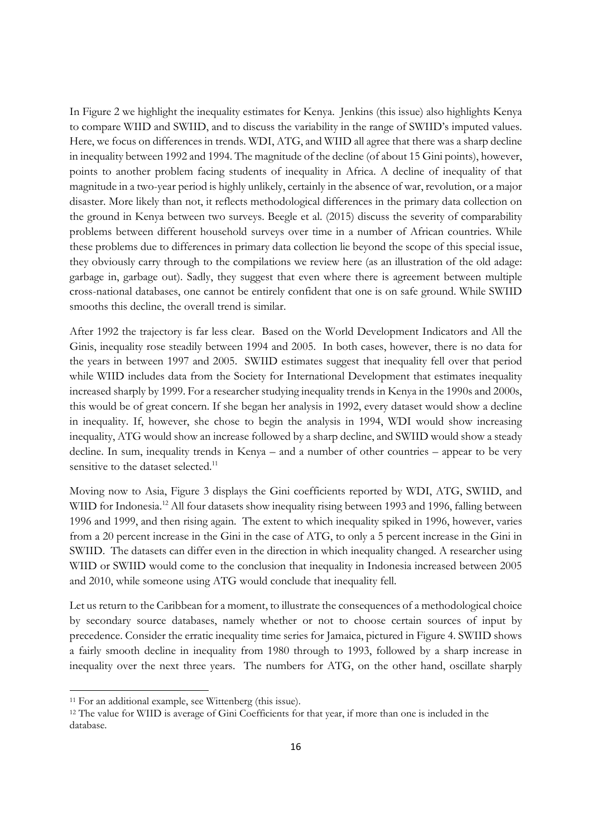In Figure 2 we highlight the inequality estimates for Kenya. Jenkins (this issue) also highlights Kenya to compare WIID and SWIID, and to discuss the variability in the range of SWIID's imputed values. Here, we focus on differences in trends. WDI, ATG, and WIID all agree that there was a sharp decline in inequality between 1992 and 1994. The magnitude of the decline (of about 15 Gini points), however, points to another problem facing students of inequality in Africa. A decline of inequality of that magnitude in a two-year period is highly unlikely, certainly in the absence of war, revolution, or a major disaster. More likely than not, it reflects methodological differences in the primary data collection on the ground in Kenya between two surveys. Beegle et al. (2015) discuss the severity of comparability problems between different household surveys over time in a number of African countries. While these problems due to differences in primary data collection lie beyond the scope of this special issue, they obviously carry through to the compilations we review here (as an illustration of the old adage: garbage in, garbage out). Sadly, they suggest that even where there is agreement between multiple cross-national databases, one cannot be entirely confident that one is on safe ground. While SWIID smooths this decline, the overall trend is similar.

After 1992 the trajectory is far less clear. Based on the World Development Indicators and All the Ginis, inequality rose steadily between 1994 and 2005. In both cases, however, there is no data for the years in between 1997 and 2005. SWIID estimates suggest that inequality fell over that period while WIID includes data from the Society for International Development that estimates inequality increased sharply by 1999. For a researcher studying inequality trends in Kenya in the 1990s and 2000s, this would be of great concern. If she began her analysis in 1992, every dataset would show a decline in inequality. If, however, she chose to begin the analysis in 1994, WDI would show increasing inequality, ATG would show an increase followed by a sharp decline, and SWIID would show a steady decline. In sum, inequality trends in Kenya – and a number of other countries – appear to be very sensitive to the dataset selected.<sup>11</sup>

Moving now to Asia, Figure 3 displays the Gini coefficients reported by WDI, ATG, SWIID, and WIID for Indonesia.<sup>12</sup> All four datasets show inequality rising between 1993 and 1996, falling between 1996 and 1999, and then rising again. The extent to which inequality spiked in 1996, however, varies from a 20 percent increase in the Gini in the case of ATG, to only a 5 percent increase in the Gini in SWIID. The datasets can differ even in the direction in which inequality changed. A researcher using WIID or SWIID would come to the conclusion that inequality in Indonesia increased between 2005 and 2010, while someone using ATG would conclude that inequality fell.

Let us return to the Caribbean for a moment, to illustrate the consequences of a methodological choice by secondary source databases, namely whether or not to choose certain sources of input by precedence. Consider the erratic inequality time series for Jamaica, pictured in Figure 4. SWIID shows a fairly smooth decline in inequality from 1980 through to 1993, followed by a sharp increase in inequality over the next three years. The numbers for ATG, on the other hand, oscillate sharply

<sup>11</sup> For an additional example, see Wittenberg (this issue).

<sup>12</sup> The value for WIID is average of Gini Coefficients for that year, if more than one is included in the database.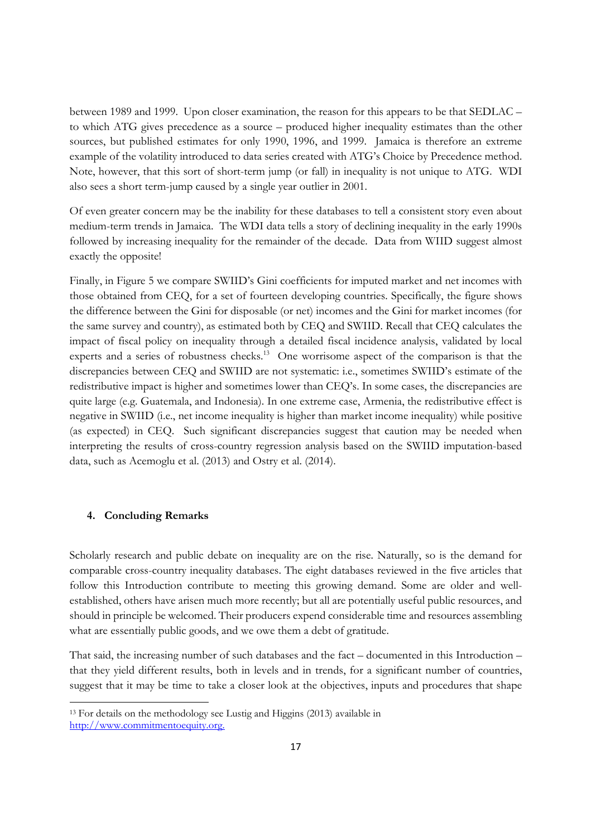between 1989 and 1999. Upon closer examination, the reason for this appears to be that SEDLAC – to which ATG gives precedence as a source – produced higher inequality estimates than the other sources, but published estimates for only 1990, 1996, and 1999. Jamaica is therefore an extreme example of the volatility introduced to data series created with ATG's Choice by Precedence method. Note, however, that this sort of short-term jump (or fall) in inequality is not unique to ATG. WDI also sees a short term-jump caused by a single year outlier in 2001.

Of even greater concern may be the inability for these databases to tell a consistent story even about medium-term trends in Jamaica. The WDI data tells a story of declining inequality in the early 1990s followed by increasing inequality for the remainder of the decade. Data from WIID suggest almost exactly the opposite!

Finally, in Figure 5 we compare SWIID's Gini coefficients for imputed market and net incomes with those obtained from CEQ, for a set of fourteen developing countries. Specifically, the figure shows the difference between the Gini for disposable (or net) incomes and the Gini for market incomes (for the same survey and country), as estimated both by CEQ and SWIID. Recall that CEQ calculates the impact of fiscal policy on inequality through a detailed fiscal incidence analysis, validated by local experts and a series of robustness checks.<sup>13</sup> One worrisome aspect of the comparison is that the discrepancies between CEQ and SWIID are not systematic: i.e., sometimes SWIID's estimate of the redistributive impact is higher and sometimes lower than CEQ's. In some cases, the discrepancies are quite large (e.g. Guatemala, and Indonesia). In one extreme case, Armenia, the redistributive effect is negative in SWIID (i.e., net income inequality is higher than market income inequality) while positive (as expected) in CEQ. Such significant discrepancies suggest that caution may be needed when interpreting the results of cross-country regression analysis based on the SWIID imputation-based data, such as Acemoglu et al. (2013) and Ostry et al. (2014).

#### **4. Concluding Remarks**

Scholarly research and public debate on inequality are on the rise. Naturally, so is the demand for comparable cross-country inequality databases. The eight databases reviewed in the five articles that follow this Introduction contribute to meeting this growing demand. Some are older and wellestablished, others have arisen much more recently; but all are potentially useful public resources, and should in principle be welcomed. Their producers expend considerable time and resources assembling what are essentially public goods, and we owe them a debt of gratitude.

That said, the increasing number of such databases and the fact – documented in this Introduction – that they yield different results, both in levels and in trends, for a significant number of countries, suggest that it may be time to take a closer look at the objectives, inputs and procedures that shape

<sup>13</sup> For details on the methodology see Lustig and Higgins (2013) available in http://www.commitmentoequity.org.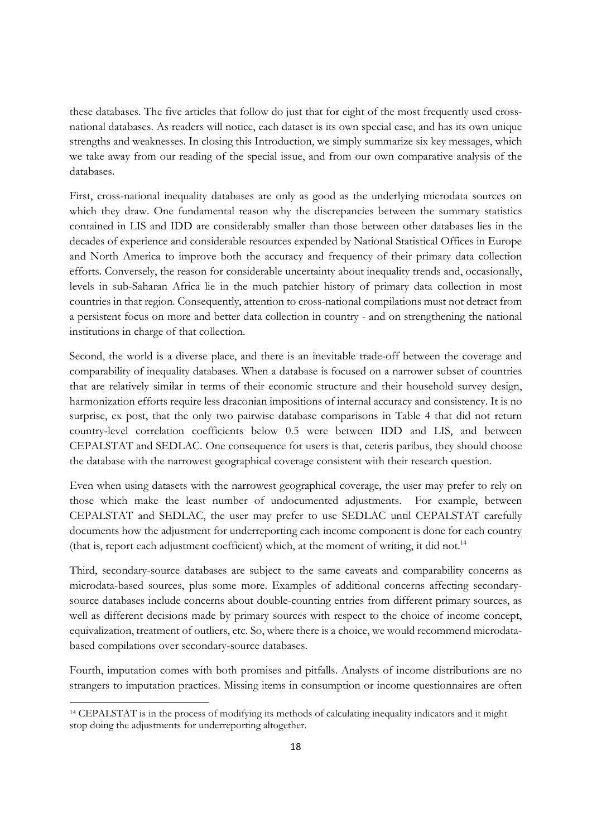these databases. The five articles that follow do just that for eight of the most frequently used crossnational databases. As readers will notice, each dataset is its own special case, and has its own unique strengths and weaknesses. In closing this Introduction, we simply summarize six key messages, which we take away from our reading of the special issue, and from our own comparative analysis of the databases.

First, cross-national inequality databases are only as good as the underlying microdata sources on which they draw. One fundamental reason why the discrepancies between the summary statistics contained in LIS and IDD are considerably smaller than those between other databases lies in the decades of experience and considerable resources expended by National Statistical Offices in Europe and North America to improve both the accuracy and frequency of their primary data collection efforts. Conversely, the reason for considerable uncertainty about inequality trends and, occasionally, levels in sub-Saharan Africa lie in the much patchier history of primary data collection in most countries in that region. Consequently, attention to cross-national compilations must not detract from a persistent focus on more and better data collection in country - and on strengthening the national institutions in charge of that collection.

Second, the world is a diverse place, and there is an inevitable trade-off between the coverage and comparability of inequality databases. When a database is focused on a narrower subset of countries that are relatively similar in terms of their economic structure and their household survey design, harmonization efforts require less draconian impositions of internal accuracy and consistency. It is no surprise, ex post, that the only two pairwise database comparisons in Table 4 that did not return country-level correlation coefficients below 0.5 were between IDD and LIS, and between CEPALSTAT and SEDLAC. One consequence for users is that, ceteris paribus, they should choose the database with the narrowest geographical coverage consistent with their research question.

Even when using datasets with the narrowest geographical coverage, the user may prefer to rely on those which make the least number of undocumented adjustments. For example, between CEPALSTAT and SEDLAC, the user may prefer to use SEDLAC until CEPALSTAT carefully documents how the adjustment for underreporting each income component is done for each country (that is, report each adjustment coefficient) which, at the moment of writing, it did not.<sup>14</sup>

Third, secondary-source databases are subject to the same caveats and comparability concerns as microdata-based sources, plus some more. Examples of additional concerns affecting secondarysource databases include concerns about double-counting entries from different primary sources, as well as different decisions made by primary sources with respect to the choice of income concept, equivalization, treatment of outliers, etc. So, where there is a choice, we would recommend microdatabased compilations over secondary-source databases.

Fourth, imputation comes with both promises and pitfalls. Analysts of income distributions are no strangers to imputation practices. Missing items in consumption or income questionnaires are often

<sup>14</sup> CEPALSTAT is in the process of modifying its methods of calculating inequality indicators and it might stop doing the adjustments for underreporting altogether.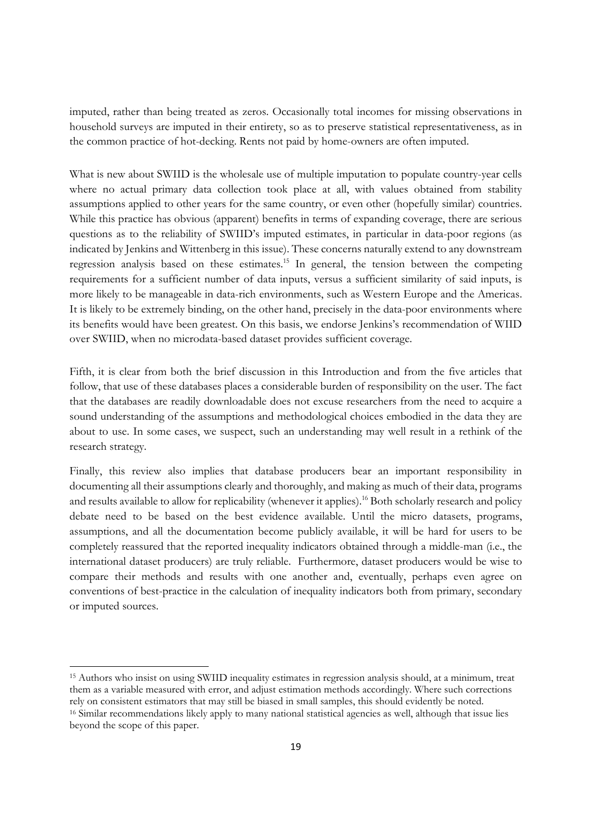imputed, rather than being treated as zeros. Occasionally total incomes for missing observations in household surveys are imputed in their entirety, so as to preserve statistical representativeness, as in the common practice of hot-decking. Rents not paid by home-owners are often imputed.

What is new about SWIID is the wholesale use of multiple imputation to populate country-year cells where no actual primary data collection took place at all, with values obtained from stability assumptions applied to other years for the same country, or even other (hopefully similar) countries. While this practice has obvious (apparent) benefits in terms of expanding coverage, there are serious questions as to the reliability of SWIID's imputed estimates, in particular in data-poor regions (as indicated by Jenkins and Wittenberg in this issue). These concerns naturally extend to any downstream regression analysis based on these estimates.<sup>15</sup> In general, the tension between the competing requirements for a sufficient number of data inputs, versus a sufficient similarity of said inputs, is more likely to be manageable in data-rich environments, such as Western Europe and the Americas. It is likely to be extremely binding, on the other hand, precisely in the data-poor environments where its benefits would have been greatest. On this basis, we endorse Jenkins's recommendation of WIID over SWIID, when no microdata-based dataset provides sufficient coverage.

Fifth, it is clear from both the brief discussion in this Introduction and from the five articles that follow, that use of these databases places a considerable burden of responsibility on the user. The fact that the databases are readily downloadable does not excuse researchers from the need to acquire a sound understanding of the assumptions and methodological choices embodied in the data they are about to use. In some cases, we suspect, such an understanding may well result in a rethink of the research strategy.

Finally, this review also implies that database producers bear an important responsibility in documenting all their assumptions clearly and thoroughly, and making as much of their data, programs and results available to allow for replicability (whenever it applies).<sup>16</sup> Both scholarly research and policy debate need to be based on the best evidence available. Until the micro datasets, programs, assumptions, and all the documentation become publicly available, it will be hard for users to be completely reassured that the reported inequality indicators obtained through a middle-man (i.e., the international dataset producers) are truly reliable. Furthermore, dataset producers would be wise to compare their methods and results with one another and, eventually, perhaps even agree on conventions of best-practice in the calculation of inequality indicators both from primary, secondary or imputed sources.

<sup>15</sup> Authors who insist on using SWIID inequality estimates in regression analysis should, at a minimum, treat them as a variable measured with error, and adjust estimation methods accordingly. Where such corrections rely on consistent estimators that may still be biased in small samples, this should evidently be noted. 16 Similar recommendations likely apply to many national statistical agencies as well, although that issue lies beyond the scope of this paper.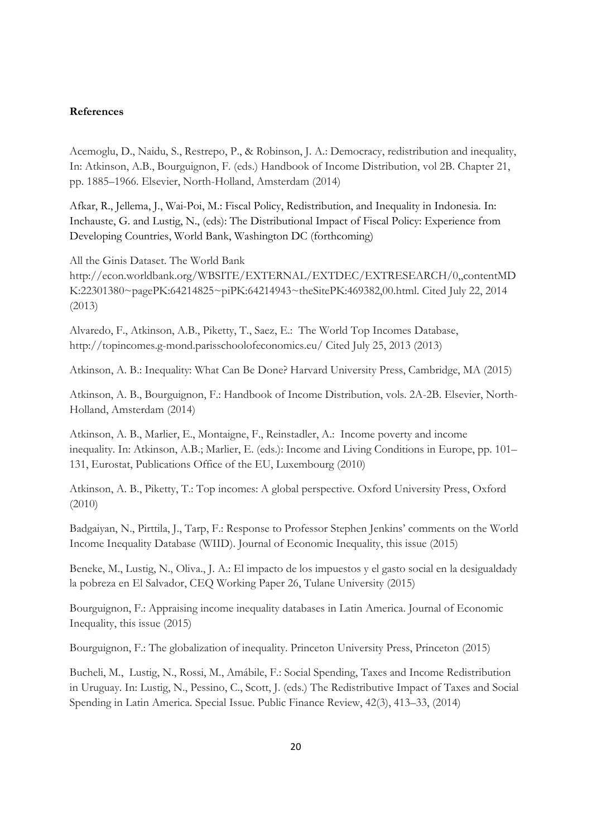#### **References**

Acemoglu, D., Naidu, S., Restrepo, P., & Robinson, J. A.: Democracy, redistribution and inequality, In: Atkinson, A.B., Bourguignon, F. (eds.) Handbook of Income Distribution, vol 2B. Chapter 21, pp. 1885–1966. Elsevier, North-Holland, Amsterdam (2014)

Afkar, R., Jellema, J., Wai-Poi, M.: Fiscal Policy, Redistribution, and Inequality in Indonesia. In: Inchauste, G. and Lustig, N., (eds): The Distributional Impact of Fiscal Policy: Experience from Developing Countries, World Bank, Washington DC (forthcoming)

All the Ginis Dataset. The World Bank

http://econ.worldbank.org/WBSITE/EXTERNAL/EXTDEC/EXTRESEARCH/0,,contentMD K:22301380~pagePK:64214825~piPK:64214943~theSitePK:469382,00.html. Cited July 22, 2014 (2013)

Alvaredo, F., Atkinson, A.B., Piketty, T., Saez, E.: The World Top Incomes Database, http://topincomes.g-mond.parisschoolofeconomics.eu/ Cited July 25, 2013 (2013)

Atkinson, A. B.: Inequality: What Can Be Done? Harvard University Press, Cambridge, MA (2015)

Atkinson, A. B., Bourguignon, F.: Handbook of Income Distribution, vols. 2A-2B. Elsevier, North-Holland, Amsterdam (2014)

Atkinson, A. B., Marlier, E., Montaigne, F., Reinstadler, A.: Income poverty and income inequality. In: Atkinson, A.B.; Marlier, E. (eds.): Income and Living Conditions in Europe, pp. 101– 131, Eurostat, Publications Office of the EU, Luxembourg (2010)

Atkinson, A. B., Piketty, T.: Top incomes: A global perspective. Oxford University Press, Oxford (2010)

Badgaiyan, N., Pirttila, J., Tarp, F.: Response to Professor Stephen Jenkins' comments on the World Income Inequality Database (WIID). Journal of Economic Inequality, this issue (2015)

Beneke, M., Lustig, N., Oliva., J. A.: El impacto de los impuestos y el gasto social en la desigualdady la pobreza en El Salvador, CEQ Working Paper 26, Tulane University (2015)

Bourguignon, F.: Appraising income inequality databases in Latin America. Journal of Economic Inequality, this issue (2015)

Bourguignon, F.: The globalization of inequality. Princeton University Press, Princeton (2015)

Bucheli, M., Lustig, N., Rossi, M., Amábile, F.: Social Spending, Taxes and Income Redistribution in Uruguay. In: Lustig, N., Pessino, C., Scott, J. (eds.) The Redistributive Impact of Taxes and Social Spending in Latin America. Special Issue. Public Finance Review, 42(3), 413–33, (2014)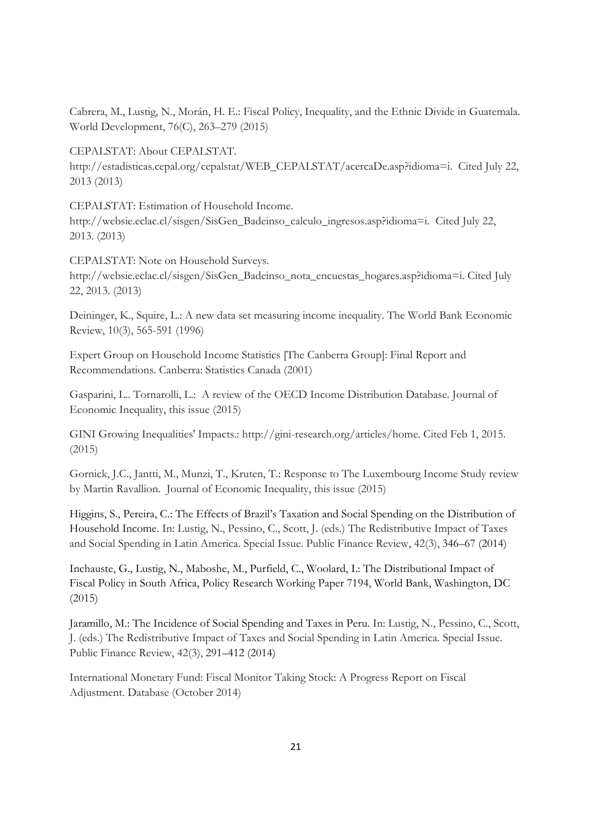Cabrera, M., Lustig, N., Morán, H. E.: Fiscal Policy, Inequality, and the Ethnic Divide in Guatemala. World Development, 76(C), 263–279 (2015)

CEPALSTAT: About CEPALSTAT. http://estadisticas.cepal.org/cepalstat/WEB\_CEPALSTAT/acercaDe.asp?idioma=i. Cited July 22, 2013 (2013)

CEPALSTAT: Estimation of Household Income. http://websie.eclac.cl/sisgen/SisGen\_Badeinso\_calculo\_ingresos.asp?idioma=i. Cited July 22, 2013. (2013)

CEPALSTAT: Note on Household Surveys. http://websie.eclac.cl/sisgen/SisGen\_Badeinso\_nota\_encuestas\_hogares.asp?idioma=i. Cited July 22, 2013. (2013)

Deininger, K., Squire, L.: A new data set measuring income inequality. The World Bank Economic Review, 10(3), 565-591 (1996)

Expert Group on Household Income Statistics [The Canberra Group]: Final Report and Recommendations. Canberra: Statistics Canada (2001)

Gasparini, L.. Tornarolli, L.: A review of the OECD Income Distribution Database. Journal of Economic Inequality, this issue (2015)

GINI Growing Inequalities' Impacts.: http://gini-research.org/articles/home. Cited Feb 1, 2015. (2015)

Gornick, J.C., Jantti, M., Munzi, T., Kruten, T.: Response to The Luxembourg Income Study review by Martin Ravallion. Journal of Economic Inequality, this issue (2015)

Higgins, S., Pereira, C.: The Effects of Brazil's Taxation and Social Spending on the Distribution of Household Income. In: Lustig, N., Pessino, C., Scott, J. (eds.) The Redistributive Impact of Taxes and Social Spending in Latin America. Special Issue. Public Finance Review, 42(3), 346–67 (2014)

Inchauste, G., Lustig, N., Maboshe, M., Purfield, C., Woolard, I.: The Distributional Impact of Fiscal Policy in South Africa, Policy Research Working Paper 7194, World Bank, Washington, DC (2015)

Jaramillo, M.: The Incidence of Social Spending and Taxes in Peru. In: Lustig, N., Pessino, C., Scott, J. (eds.) The Redistributive Impact of Taxes and Social Spending in Latin America. Special Issue. Public Finance Review, 42(3), 291–412 (2014)

International Monetary Fund: Fiscal Monitor Taking Stock: A Progress Report on Fiscal Adjustment. Database (October 2014)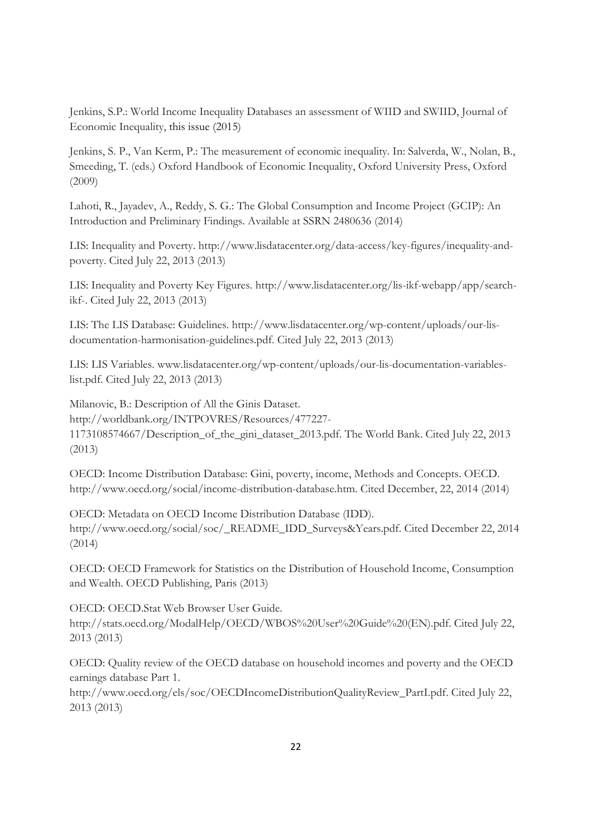Jenkins, S.P.: World Income Inequality Databases an assessment of WIID and SWIID, Journal of Economic Inequality, this issue (2015)

Jenkins, S. P., Van Kerm, P.: The measurement of economic inequality. In: Salverda, W., Nolan, B., Smeeding, T. (eds.) Oxford Handbook of Economic Inequality, Oxford University Press, Oxford (2009)

Lahoti, R., Jayadev, A., Reddy, S. G.: The Global Consumption and Income Project (GCIP): An Introduction and Preliminary Findings. Available at SSRN 2480636 (2014)

LIS: Inequality and Poverty. http://www.lisdatacenter.org/data-access/key-figures/inequality-andpoverty. Cited July 22, 2013 (2013)

LIS: Inequality and Poverty Key Figures. http://www.lisdatacenter.org/lis-ikf-webapp/app/searchikf-. Cited July 22, 2013 (2013)

LIS: The LIS Database: Guidelines. http://www.lisdatacenter.org/wp-content/uploads/our-lisdocumentation-harmonisation-guidelines.pdf. Cited July 22, 2013 (2013)

LIS: LIS Variables. www.lisdatacenter.org/wp-content/uploads/our-lis-documentation-variableslist.pdf. Cited July 22, 2013 (2013)

Milanovic, B.: Description of All the Ginis Dataset. http://worldbank.org/INTPOVRES/Resources/477227- 1173108574667/Description\_of\_the\_gini\_dataset\_2013.pdf. The World Bank. Cited July 22, 2013 (2013)

OECD: Income Distribution Database: Gini, poverty, income, Methods and Concepts. OECD. http://www.oecd.org/social/income-distribution-database.htm. Cited December, 22, 2014 (2014)

OECD: Metadata on OECD Income Distribution Database (IDD). http://www.oecd.org/social/soc/\_README\_IDD\_Surveys&Years.pdf. Cited December 22, 2014 (2014)

OECD: OECD Framework for Statistics on the Distribution of Household Income, Consumption and Wealth. OECD Publishing, Paris (2013)

OECD: OECD.Stat Web Browser User Guide. http://stats.oecd.org/ModalHelp/OECD/WBOS%20User%20Guide%20(EN).pdf. Cited July 22, 2013 (2013)

OECD: Quality review of the OECD database on household incomes and poverty and the OECD earnings database Part 1.

http://www.oecd.org/els/soc/OECDIncomeDistributionQualityReview\_PartI.pdf. Cited July 22, 2013 (2013)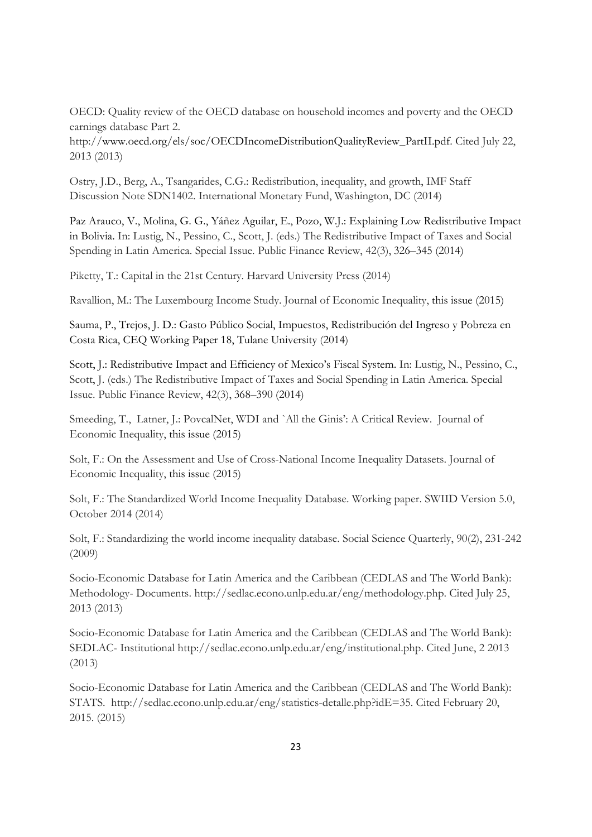OECD: Quality review of the OECD database on household incomes and poverty and the OECD earnings database Part 2.

http://www.oecd.org/els/soc/OECDIncomeDistributionQualityReview\_PartII.pdf. Cited July 22, 2013 (2013)

Ostry, J.D., Berg, A., Tsangarides, C.G.: Redistribution, inequality, and growth, IMF Staff Discussion Note SDN1402. International Monetary Fund, Washington, DC (2014)

Paz Arauco, V., Molina, G. G., Yáñez Aguilar, E., Pozo, W.J.: Explaining Low Redistributive Impact in Bolivia. In: Lustig, N., Pessino, C., Scott, J. (eds.) The Redistributive Impact of Taxes and Social Spending in Latin America. Special Issue. Public Finance Review, 42(3), 326–345 (2014)

Piketty, T.: Capital in the 21st Century. Harvard University Press (2014)

Ravallion, M.: The Luxembourg Income Study. Journal of Economic Inequality, this issue (2015)

Sauma, P., Trejos, J. D.: Gasto Público Social, Impuestos, Redistribución del Ingreso y Pobreza en Costa Rica, CEQ Working Paper 18, Tulane University (2014)

Scott, J.: Redistributive Impact and Efficiency of Mexico's Fiscal System. In: Lustig, N., Pessino, C., Scott, J. (eds.) The Redistributive Impact of Taxes and Social Spending in Latin America. Special Issue. Public Finance Review, 42(3), 368–390 (2014)

Smeeding, T., Latner, J.: PovcalNet, WDI and `All the Ginis': A Critical Review. Journal of Economic Inequality, this issue (2015)

Solt, F.: On the Assessment and Use of Cross-National Income Inequality Datasets. Journal of Economic Inequality, this issue (2015)

Solt, F.: The Standardized World Income Inequality Database. Working paper. SWIID Version 5.0, October 2014 (2014)

Solt, F.: Standardizing the world income inequality database. Social Science Quarterly, 90(2), 231-242 (2009)

Socio-Economic Database for Latin America and the Caribbean (CEDLAS and The World Bank): Methodology- Documents. http://sedlac.econo.unlp.edu.ar/eng/methodology.php. Cited July 25, 2013 (2013)

Socio-Economic Database for Latin America and the Caribbean (CEDLAS and The World Bank): SEDLAC- Institutional http://sedlac.econo.unlp.edu.ar/eng/institutional.php. Cited June, 2 2013 (2013)

Socio-Economic Database for Latin America and the Caribbean (CEDLAS and The World Bank): STATS. http://sedlac.econo.unlp.edu.ar/eng/statistics-detalle.php?idE=35. Cited February 20, 2015. (2015)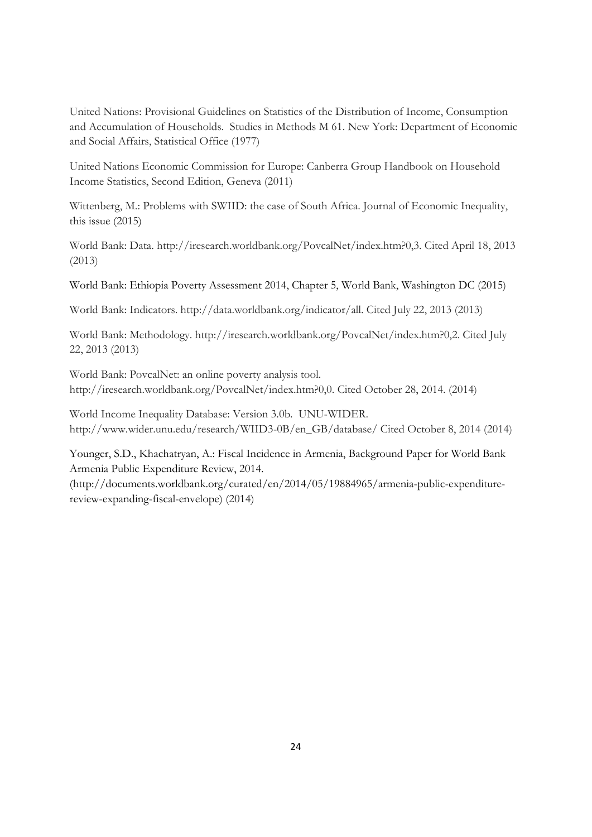United Nations: Provisional Guidelines on Statistics of the Distribution of Income, Consumption and Accumulation of Households.Studies in Methods M 61. New York: Department of Economic and Social Affairs, Statistical Office (1977)

United Nations Economic Commission for Europe: Canberra Group Handbook on Household Income Statistics, Second Edition, Geneva (2011)

Wittenberg, M.: Problems with SWIID: the case of South Africa. Journal of Economic Inequality, this issue (2015)

World Bank: Data. http://iresearch.worldbank.org/PovcalNet/index.htm?0,3. Cited April 18, 2013 (2013)

World Bank: Ethiopia Poverty Assessment 2014, Chapter 5, World Bank, Washington DC (2015)

World Bank: Indicators. http://data.worldbank.org/indicator/all. Cited July 22, 2013 (2013)

World Bank: Methodology. http://iresearch.worldbank.org/PovcalNet/index.htm?0,2. Cited July 22, 2013 (2013)

World Bank: PovcalNet: an online poverty analysis tool. http://iresearch.worldbank.org/PovcalNet/index.htm?0,0. Cited October 28, 2014. (2014)

World Income Inequality Database: Version 3.0b. UNU-WIDER. http://www.wider.unu.edu/research/WIID3-0B/en\_GB/database/ Cited October 8, 2014 (2014)

Younger, S.D., Khachatryan, A.: Fiscal Incidence in Armenia, Background Paper for World Bank Armenia Public Expenditure Review, 2014.

(http://documents.worldbank.org/curated/en/2014/05/19884965/armenia-public-expenditurereview-expanding-fiscal-envelope) (2014)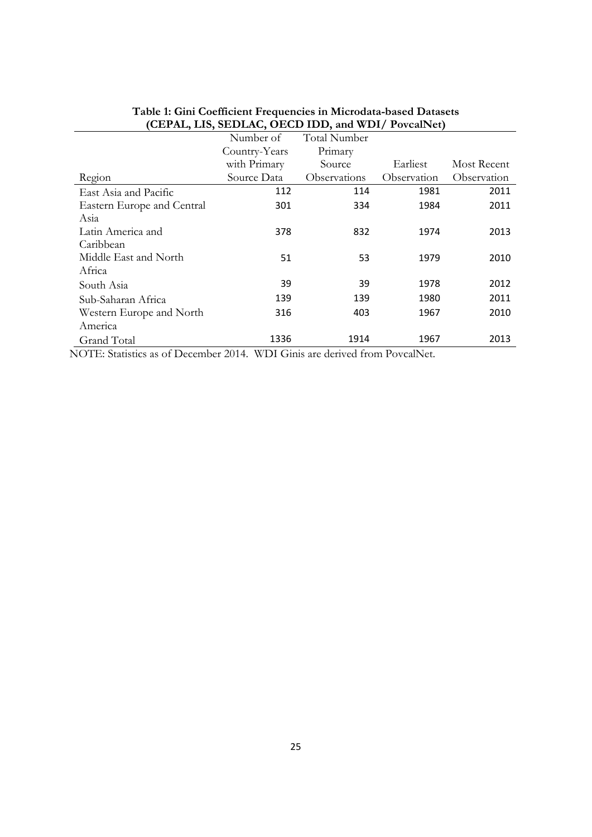|                            | Number of     | <b>Total Number</b> |             |             |
|----------------------------|---------------|---------------------|-------------|-------------|
|                            | Country-Years | Primary             |             |             |
|                            | with Primary  | Source              | Earliest    | Most Recent |
| Region                     | Source Data   | Observations        | Observation | Observation |
| East Asia and Pacific      | 112           | 114                 | 1981        | 2011        |
| Eastern Europe and Central | 301           | 334                 | 1984        | 2011        |
| Asia                       |               |                     |             |             |
| Latin America and          | 378           | 832                 | 1974        | 2013        |
| Caribbean                  |               |                     |             |             |
| Middle East and North      | 51            | 53                  | 1979        | 2010        |
| Africa                     |               |                     |             |             |
| South Asia                 | 39            | 39                  | 1978        | 2012        |
| Sub-Saharan Africa         | 139           | 139                 | 1980        | 2011        |
| Western Europe and North   | 316           | 403                 | 1967        | 2010        |
| America                    |               |                     |             |             |
| Grand Total                | 1336          | 1914                | 1967        | 2013        |

### **Table 1: Gini Coefficient Frequencies in Microdata-based Datasets (CEPAL, LIS, SEDLAC, OECD IDD, and WDI/ PovcalNet)**

NOTE: Statistics as of December 2014. WDI Ginis are derived from PovcalNet.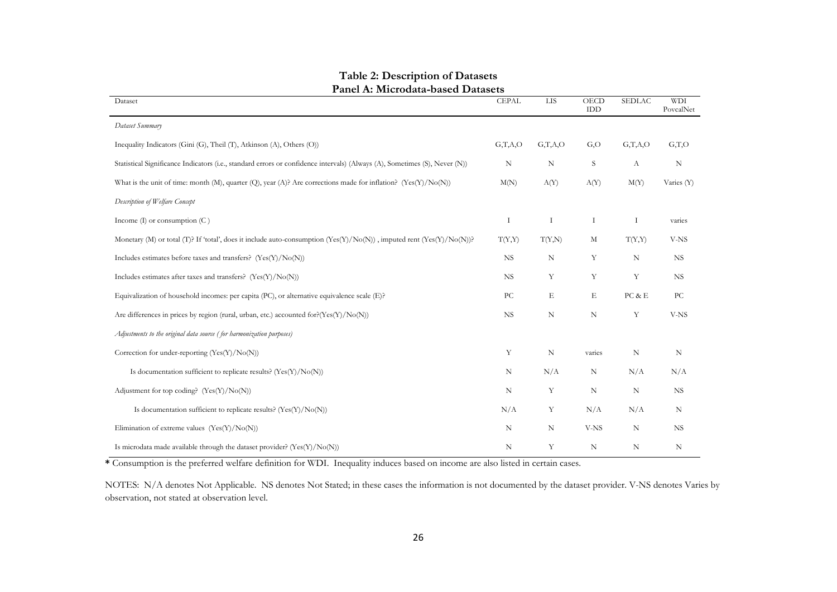| I anci II, microgata-bascu Datascus                                                                                        |              |             |             |               |                  |
|----------------------------------------------------------------------------------------------------------------------------|--------------|-------------|-------------|---------------|------------------|
| Dataset                                                                                                                    | <b>CEPAL</b> | LIS         | OECD<br>IDD | <b>SEDLAC</b> | WDI<br>PovcalNet |
| Dataset Summary                                                                                                            |              |             |             |               |                  |
| Inequality Indicators (Gini (G), Theil (T), Atkinson (A), Others (O))                                                      | G,T,A,O      | G,T,A,O     | G, O        | G,T,A,O       | G,T,O            |
| Statistical Significance Indicators (i.e., standard errors or confidence intervals) (Always (A), Sometimes (S), Never (N)) | N            | $\mathbf N$ | S           | A             | N                |
| What is the unit of time: month (M), quarter (Q), year (A)? Are corrections made for inflation? $(Yes(Y)/No(N))$           | M(N)         | A(Y)        | A(Y)        | M(Y)          | Varies (Y)       |
| Description of Welfare Concept                                                                                             |              |             |             |               |                  |
| Income $(I)$ or consumption $(C)$                                                                                          | Ι            | Ι           | Ι           | Ι             | varies           |
| Monetary (M) or total (T)? If 'total', does it include auto-consumption $(Yes(Y)/No(N))$ , imputed rent $(Yes(Y)/No(N))$ ? | T(Y,Y)       | T(Y,N)      | M           | T(Y,Y)        | V-NS             |
| Includes estimates before taxes and transfers? $(Yes(Y)/No(N))$                                                            | <b>NS</b>    | $\mathbf N$ | Y           | $\mathbf N$   | NS               |
| Includes estimates after taxes and transfers? $(Yes(Y)/No(N))$                                                             | <b>NS</b>    | Υ           | Y           | Y             | <b>NS</b>        |
| Equivalization of household incomes: per capita (PC), or alternative equivalence scale (E)?                                | PC           | Е           | E           | PC & E        | PC               |
| Are differences in prices by region (rural, urban, etc.) accounted for $(Yes(Y)/No(N))$                                    | <b>NS</b>    | $\mathbf N$ | ${\rm N}$   | Y             | V-NS             |
| Adjustments to the original data source (for harmonization purposes)                                                       |              |             |             |               |                  |
| Correction for under-reporting (Yes(Y)/No(N))                                                                              | Y            | $\mathbf N$ | varies      | N             | N                |
| Is documentation sufficient to replicate results? $(Yes(Y)/No(N))$                                                         | N            | N/A         | N           | N/A           | N/A              |
| Adjustment for top coding? $(Yes(Y)/No(N))$                                                                                | N            | Y           | $\mathbf N$ | N             | <b>NS</b>        |
| Is documentation sufficient to replicate results? $(Yes(Y)/No(N))$                                                         | N/A          | Y           | N/A         | N/A           | N                |
| Elimination of extreme values $(Yes(Y)/No(N))$                                                                             | $\mathbf N$  | $\mathbf N$ | V-NS        | N             | <b>NS</b>        |
| Is microdata made available through the dataset provider? $(Yes(Y)/No(N))$                                                 | N            | Y           | $\mathbf N$ | N             | N                |

#### **Table 2: Description of Datasets Panel A: Microdata-based Datasets**

**\*** Consumption is the preferred welfare definition for WDI. Inequality induces based on income are also listed in certain cases.

NOTES: N/A denotes Not Applicable. NS denotes Not Stated; in these cases the information is not documented by the dataset provider. V-NS denotes Varies by observation, not stated at observation level.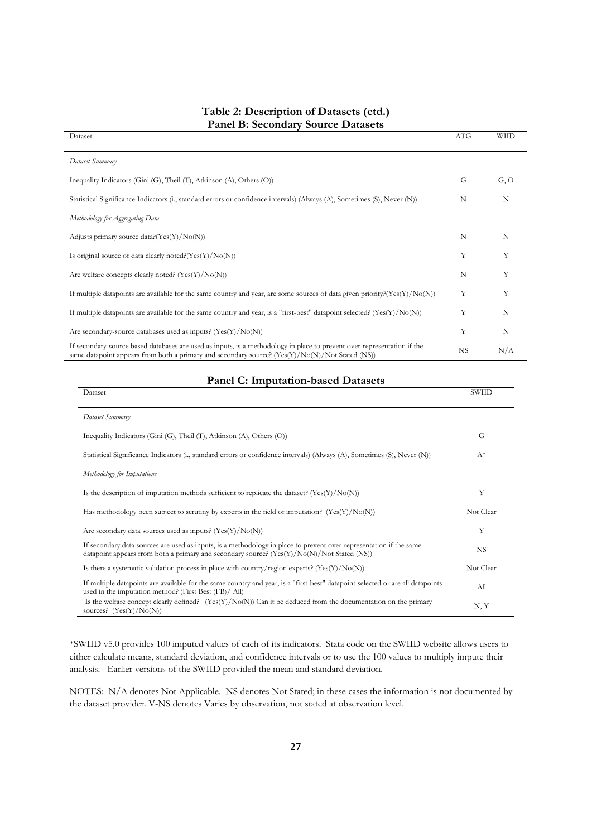| $mnci$ $\boldsymbol{\omega}$ , $\boldsymbol{\omega}$ $\boldsymbol{\omega}$ $\boldsymbol{\omega}$ $\boldsymbol{\omega}$ $\boldsymbol{\omega}$ , $\boldsymbol{\omega}$<br>$500$ and $500$ and $500$                          |            |             |
|----------------------------------------------------------------------------------------------------------------------------------------------------------------------------------------------------------------------------|------------|-------------|
| Dataset                                                                                                                                                                                                                    | <b>ATG</b> | <b>WIID</b> |
| Dataset Summary                                                                                                                                                                                                            |            |             |
| Inequality Indicators (Gini $(G)$ , Theil $(T)$ , Atkinson $(A)$ , Others $(O)$ )                                                                                                                                          | G          | G, O        |
| Statistical Significance Indicators (i., standard errors or confidence intervals) (Always (A), Sometimes (S), Never (N))                                                                                                   | N          | N           |
| Methodology for Aggregating Data                                                                                                                                                                                           |            |             |
| Adjusts primary source data? $(Yes(Y)/No(N))$                                                                                                                                                                              | N          | N           |
| Is original source of data clearly noted? $(Yes(Y)/No(N))$                                                                                                                                                                 | Υ          | Υ           |
| Are welfare concepts clearly noted? $(Yes(Y)/No(N))$                                                                                                                                                                       | N          | Y           |
| If multiple datapoints are available for the same country and year, are some sources of data given priority?( $Yes(Y)/No(N)$ )                                                                                             | Y          | Y           |
| If multiple datapoints are available for the same country and year, is a "first-best" datapoint selected? $(Yes(Y)/No(N))$                                                                                                 | Υ          | N           |
| Are secondary-source databases used as inputs? $(Yes(Y)/No(N))$                                                                                                                                                            | Υ          | N           |
| If secondary-source based databases are used as inputs, is a methodology in place to prevent over-representation if the<br>same datapoint appears from both a primary and secondary source? (Yes(Y)/No(N)/Not Stated (NS)) | <b>NS</b>  | N/A         |

#### **Table 2: Description of Datasets (ctd.) Panel B: Secondary Source Datasets**

#### **Panel C: Imputation-based Datasets**

| Dataset                                                                                                                                                                                                            | <b>SWIID</b> |
|--------------------------------------------------------------------------------------------------------------------------------------------------------------------------------------------------------------------|--------------|
| Dataset Summary                                                                                                                                                                                                    |              |
| Inequality Indicators (Gini $(G)$ , Theil $(T)$ , Atkinson $(A)$ , Others $(O)$ )                                                                                                                                  | G            |
| Statistical Significance Indicators (i., standard errors or confidence intervals) (Always (A), Sometimes (S), Never (N))                                                                                           | $A^*$        |
| Methodology for Imputations                                                                                                                                                                                        |              |
| Is the description of imputation methods sufficient to replicate the dataset? $(Yes(Y)/No(N))$                                                                                                                     | Y            |
| Has methodology been subject to scrutiny by experts in the field of imputation? $(Yes(Y)/No(N))$                                                                                                                   | Not Clear    |
| Are secondary data sources used as inputs? $(Yes(Y)/No(N))$                                                                                                                                                        | Y            |
| If secondary data sources are used as inputs, is a methodology in place to prevent over-representation if the same<br>datapoint appears from both a primary and secondary source? $(Yes(Y)/No(N)/Not$ Stated (NS)) | <b>NS</b>    |
| Is there a systematic validation process in place with country/region experts? $(Yes(Y)/No(N))$                                                                                                                    | Not Clear    |
| If multiple datapoints are available for the same country and year, is a "first-best" datapoint selected or are all datapoints<br>used in the imputation method? (First Best (FB)/ All)                            | All          |
| Is the welfare concept clearly defined? $(Yes(Y)/No(N))$ Can it be deduced from the documentation on the primary<br>sources? $(Yes(Y)/No(N))$                                                                      | N, Y         |

\*SWIID v5.0 provides 100 imputed values of each of its indicators. Stata code on the SWIID website allows users to either calculate means, standard deviation, and confidence intervals or to use the 100 values to multiply impute their analysis. Earlier versions of the SWIID provided the mean and standard deviation.

NOTES:N/A denotes Not Applicable. NS denotes Not Stated; in these cases the information is not documented by the dataset provider. V-NS denotes Varies by observation, not stated at observation level.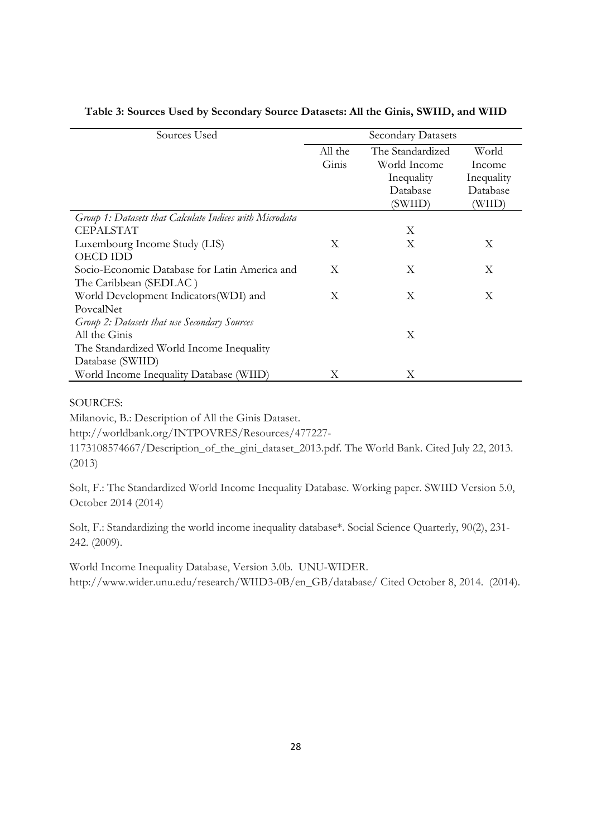| Sources Used                                            |              | <b>Secondary Datasets</b> |            |
|---------------------------------------------------------|--------------|---------------------------|------------|
|                                                         | All the      | The Standardized          | World      |
|                                                         | Ginis        | World Income              | Income     |
|                                                         |              | Inequality                | Inequality |
|                                                         |              | Database                  | Database   |
|                                                         |              | (SWIID)                   | (WIID)     |
| Group 1: Datasets that Calculate Indices with Microdata |              |                           |            |
| <b>CEPALSTAT</b>                                        |              | Χ                         |            |
| Luxembourg Income Study (LIS)                           | Χ            | X                         | Χ          |
| <b>OECD IDD</b>                                         |              |                           |            |
| Socio-Economic Database for Latin America and           | $\mathbf{X}$ | X                         | X          |
| The Caribbean (SEDLAC)                                  |              |                           |            |
| World Development Indicators (WDI) and                  | Χ            | Χ                         | Χ          |
| PovcalNet                                               |              |                           |            |
| Group 2: Datasets that use Secondary Sources            |              |                           |            |
| All the Ginis                                           |              | X                         |            |
| The Standardized World Income Inequality                |              |                           |            |
| Database (SWIID)                                        |              |                           |            |
| World Income Inequality Database (WIID)                 | Х            | Χ                         |            |

#### **Table 3: Sources Used by Secondary Source Datasets: All the Ginis, SWIID, and WIID**

SOURCES:

Milanovic, B.: Description of All the Ginis Dataset.

http://worldbank.org/INTPOVRES/Resources/477227-

1173108574667/Description\_of\_the\_gini\_dataset\_2013.pdf. The World Bank. Cited July 22, 2013. (2013)

Solt, F.: The Standardized World Income Inequality Database. Working paper. SWIID Version 5.0, October 2014 (2014)

Solt, F.: Standardizing the world income inequality database\*. Social Science Quarterly, 90(2), 231- 242. (2009).

World Income Inequality Database, Version 3.0b. UNU-WIDER. http://www.wider.unu.edu/research/WIID3-0B/en\_GB/database/ Cited October 8, 2014. (2014).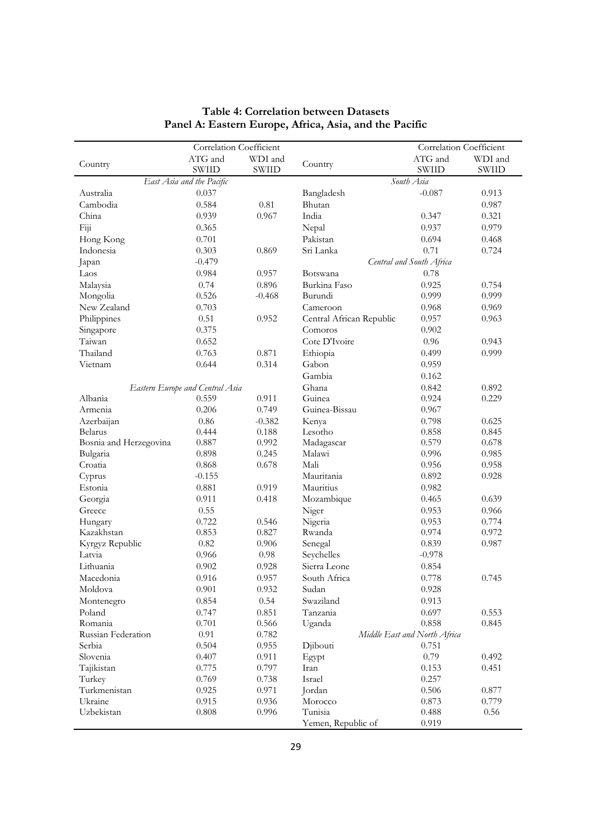|                        | Correlation Coefficient                  |              |                          | Correlation Coefficient      |         |
|------------------------|------------------------------------------|--------------|--------------------------|------------------------------|---------|
|                        | ATG and                                  | WDI and      |                          | ATG and                      | WDI and |
| Country                | <b>SWIID</b>                             | <b>SWIID</b> | Country                  | <b>SWIID</b>                 | SWIID   |
|                        | East Asia and the Pacific                |              |                          | South Asia                   |         |
| Australia              | 0.037                                    |              | Bangladesh               | $-0.087$                     | 0.913   |
| Cambodia               | 0.584                                    | 0.81         | Bhutan                   |                              | 0.987   |
| China                  | 0.939                                    | 0.967        | India                    | 0.347                        | 0.321   |
| Fiji                   | 0.365                                    |              | Nepal                    | 0.937                        | 0.979   |
| Hong Kong              | 0.701                                    |              | Pakistan                 | 0.694                        | 0.468   |
| Indonesia              | 0.303                                    | 0.869        | Sri Lanka                | 0.71                         | 0.724   |
| Japan                  | $-0.479$                                 |              |                          | Central and South Africa     |         |
| Laos                   | 0.984                                    | 0.957        | Botswana                 | 0.78                         |         |
| Malaysia               | 0.74                                     | 0.896        | Burkina Faso             | 0.925                        | 0.754   |
| Mongolia               | 0.526                                    | $-0.468$     | Burundi                  | 0.999                        | 0.999   |
| New Zealand            | 0.703                                    |              | Cameroon                 | 0.968                        | 0.969   |
| Philippines            | 0.51                                     | 0.952        | Central African Republic | 0.957                        | 0.963   |
| Singapore              | 0.375                                    |              | Comoros                  | 0.902                        |         |
| Taiwan                 | 0.652                                    |              | Cote D'Ivoire            | 0.96                         | 0.943   |
| Thailand               | 0.763                                    | 0.871        | Ethiopia                 | 0.499                        | 0.999   |
| Vietnam                | 0.644                                    | 0.314        | Gabon                    | 0.959                        |         |
|                        |                                          |              | Gambia                   | 0.162                        |         |
|                        |                                          |              | Ghana                    | 0.842                        | 0.892   |
| Albania                | Eastern Europe and Central Asia<br>0.559 | 0.911        | Guinea                   | 0.924                        | 0.229   |
| Armenia                | 0.206                                    | 0.749        | Guinea-Bissau            | 0.967                        |         |
| Azerbaijan             | 0.86                                     | $-0.382$     | Kenya                    | 0.798                        | 0.625   |
| Belarus                | 0.444                                    | 0.188        | Lesotho                  | 0.858                        | 0.845   |
| Bosnia and Herzegovina | 0.887                                    | 0.992        | Madagascar               | 0.579                        | 0.678   |
| Bulgaria               | 0.898                                    | 0.245        | Malawi                   | 0.996                        | 0.985   |
| Croatia                | 0.868                                    | 0.678        | Mali                     | 0.956                        | 0.958   |
| Cyprus                 | $-0.155$                                 |              | Mauritania               | 0.892                        | 0.928   |
| Estonia                | 0.881                                    | 0.919        | Mauritius                | 0.982                        |         |
| Georgia                | 0.911                                    | 0.418        | Mozambique               | 0.465                        | 0.639   |
| Greece                 | 0.55                                     |              | Niger                    | 0.953                        | 0.966   |
| Hungary                | 0.722                                    | 0.546        | Nigeria                  | 0.953                        | 0.774   |
| Kazakhstan             | 0.853                                    | 0.827        | Rwanda                   | 0.974                        | 0.972   |
| Kyrgyz Republic        | 0.82                                     | 0.906        | Senegal                  | 0.839                        | 0.987   |
| Latvia                 | 0.966                                    | 0.98         | Seychelles               | $-0.978$                     |         |
| Lithuania              | 0.902                                    | 0.928        | Sierra Leone             | 0.854                        |         |
| Macedonia              | 0.916                                    | 0.957        | South Africa             | 0.778                        | 0.745   |
| Moldova                | 0.901                                    | 0.932        | Sudan                    | 0.928                        |         |
| Montenegro             | 0.854                                    | 0.54         | Swaziland                | 0.913                        |         |
| Poland                 | 0.747                                    | 0.851        | Tanzania                 | 0.697                        | 0.553   |
| Romania                | 0.701                                    | 0.566        | Uganda                   | 0.858                        | 0.845   |
| Russian Federation     | 0.91                                     | 0.782        |                          | Middle East and North Africa |         |
| Serbia                 | 0.504                                    | 0.955        | Djibouti                 | 0.751                        |         |
| Slovenia               | 0.407                                    | 0.911        | Egypt                    | 0.79                         | 0.492   |
| Tajikistan             | 0.775                                    | 0.797        | Iran                     | 0.153                        | 0.451   |
| Turkey                 | 0.769                                    | 0.738        | Israel                   | 0.257                        |         |
| Turkmenistan           | 0.925                                    | 0.971        | Jordan                   | 0.506                        | 0.877   |
| Ukraine                | 0.915                                    | 0.936        | Morocco                  | 0.873                        | 0.779   |
| Uzbekistan             | 0.808                                    | 0.996        | Tunisia                  | 0.488                        | 0.56    |
|                        |                                          |              | Yemen, Republic of       | 0.919                        |         |

### **Table 4: Correlation between Datasets Panel A: Eastern Europe, Africa, Asia, and the Pacific**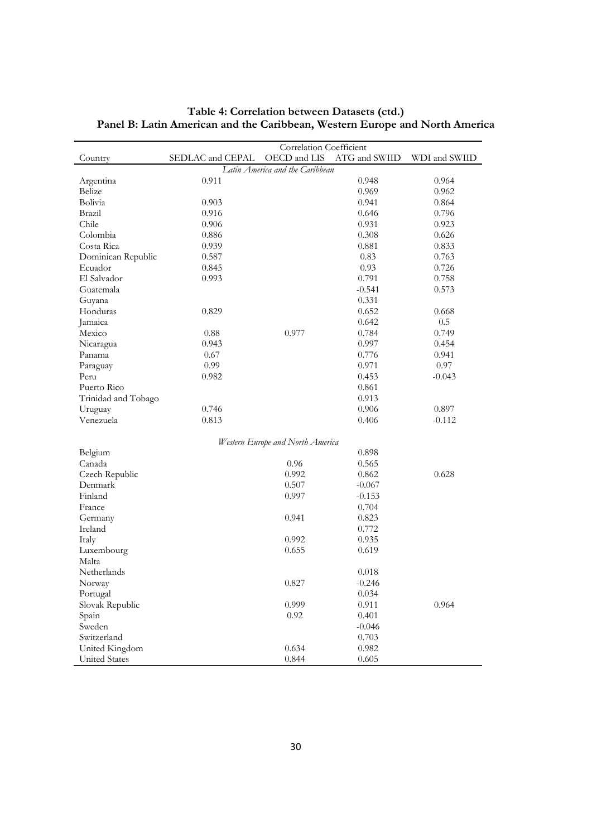|                      |                  | Correlation Coefficient          |               |               |
|----------------------|------------------|----------------------------------|---------------|---------------|
| Country              | SEDLAC and CEPAL | OECD and LIS                     | ATG and SWIID | WDI and SWIID |
|                      |                  | Latin America and the Caribbean  |               |               |
| Argentina            | 0.911            |                                  | 0.948         | 0.964         |
| Belize               |                  |                                  | 0.969         | 0.962         |
| Bolivia              | 0.903            |                                  | 0.941         | 0.864         |
| Brazil               | 0.916            |                                  | 0.646         | 0.796         |
| Chile                | 0.906            |                                  | 0.931         | 0.923         |
| Colombia             | 0.886            |                                  | 0.308         | 0.626         |
| Costa Rica           | 0.939            |                                  | 0.881         | 0.833         |
| Dominican Republic   | 0.587            |                                  | 0.83          | 0.763         |
| Ecuador              | 0.845            |                                  | 0.93          | 0.726         |
| El Salvador          | 0.993            |                                  | 0.791         | 0.758         |
| Guatemala            |                  |                                  | $-0.541$      | 0.573         |
| Guyana               |                  |                                  | 0.331         |               |
| Honduras             | 0.829            |                                  | 0.652         | 0.668         |
| Jamaica              |                  |                                  | 0.642         | 0.5           |
| Mexico               | 0.88             | 0.977                            | 0.784         | 0.749         |
| Nicaragua            | 0.943            |                                  | 0.997         | 0.454         |
| Panama               | 0.67             |                                  | 0.776         | 0.941         |
| Paraguay             | 0.99             |                                  | 0.971         | 0.97          |
| Peru                 | 0.982            |                                  | 0.453         | $-0.043$      |
| Puerto Rico          |                  |                                  | 0.861         |               |
| Trinidad and Tobago  |                  |                                  | 0.913         |               |
| Uruguay              | 0.746            |                                  | 0.906         | 0.897         |
| Venezuela            | 0.813            |                                  | 0.406         | $-0.112$      |
|                      |                  | Western Europe and North America |               |               |
| Belgium              |                  |                                  | 0.898         |               |
| Canada               |                  | 0.96                             | 0.565         |               |
| Czech Republic       |                  | 0.992                            | 0.862         | 0.628         |
| Denmark              |                  | 0.507                            | $-0.067$      |               |
| Finland              |                  | 0.997                            | $-0.153$      |               |
| France               |                  |                                  | 0.704         |               |
| Germany              |                  | 0.941                            | 0.823         |               |
| Ireland              |                  |                                  | 0.772         |               |
| Italy                |                  | 0.992                            | 0.935         |               |
| Luxembourg           |                  | 0.655                            | 0.619         |               |
| Malta                |                  |                                  |               |               |
| Netherlands          |                  |                                  | 0.018         |               |
| Norway               |                  | 0.827                            | $-0.246$      |               |
| Portugal             |                  |                                  | 0.034         |               |
| Slovak Republic      |                  | 0.999                            | 0.911         | 0.964         |
| Spain                |                  | 0.92                             | 0.401         |               |
| Sweden               |                  |                                  | $-0.046$      |               |
| Switzerland          |                  |                                  | 0.703         |               |
| United Kingdom       |                  | 0.634                            | 0.982         |               |
| <b>United States</b> |                  | 0.844                            | 0.605         |               |

#### **Table 4: Correlation between Datasets (ctd.) Panel B: Latin American and the Caribbean, Western Europe and North America**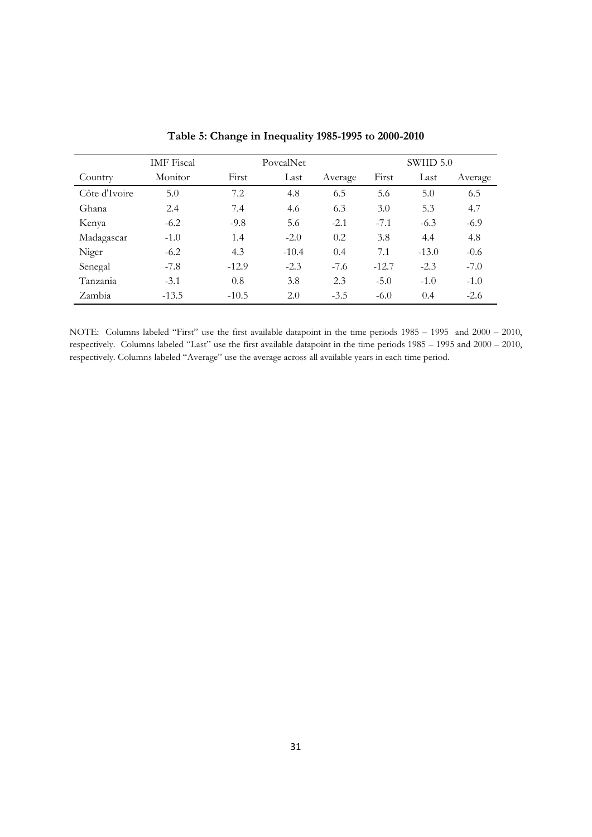|               | <b>IMF</b> Fiscal | PovcalNet |         |         | SWIID 5.0 |         |         |
|---------------|-------------------|-----------|---------|---------|-----------|---------|---------|
| Country       | Monitor           | First     | Last    | Average | First     | Last    | Average |
| Côte d'Ivoire | 5.0               | 7.2       | 4.8     | 6.5     | 5.6       | 5.0     | 6.5     |
| Ghana         | 2.4               | 7.4       | 4.6     | 6.3     | 3.0       | 5.3     | 4.7     |
| Kenya         | $-6.2$            | $-9.8$    | 5.6     | $-2.1$  | $-7.1$    | $-6.3$  | $-6.9$  |
| Madagascar    | $-1.0$            | 1.4       | $-2.0$  | 0.2     | 3.8       | 4.4     | 4.8     |
| Niger         | $-6.2$            | 4.3       | $-10.4$ | 0.4     | 7.1       | $-13.0$ | $-0.6$  |
| Senegal       | $-7.8$            | $-12.9$   | $-2.3$  | $-7.6$  | $-12.7$   | $-2.3$  | $-7.0$  |
| Tanzania      | $-3.1$            | 0.8       | 3.8     | 2.3     | $-5.0$    | $-1.0$  | $-1.0$  |
| Zambia        | $-13.5$           | $-10.5$   | 2.0     | $-3.5$  | $-6.0$    | 0.4     | $-2.6$  |

**Table 5: Change in Inequality 1985-1995 to 2000-2010** 

NOTE: Columns labeled "First" use the first available datapoint in the time periods 1985 – 1995 and 2000 – 2010, respectively. Columns labeled "Last" use the first available datapoint in the time periods 1985 – 1995 and 2000 – 2010, respectively. Columns labeled "Average" use the average across all available years in each time period.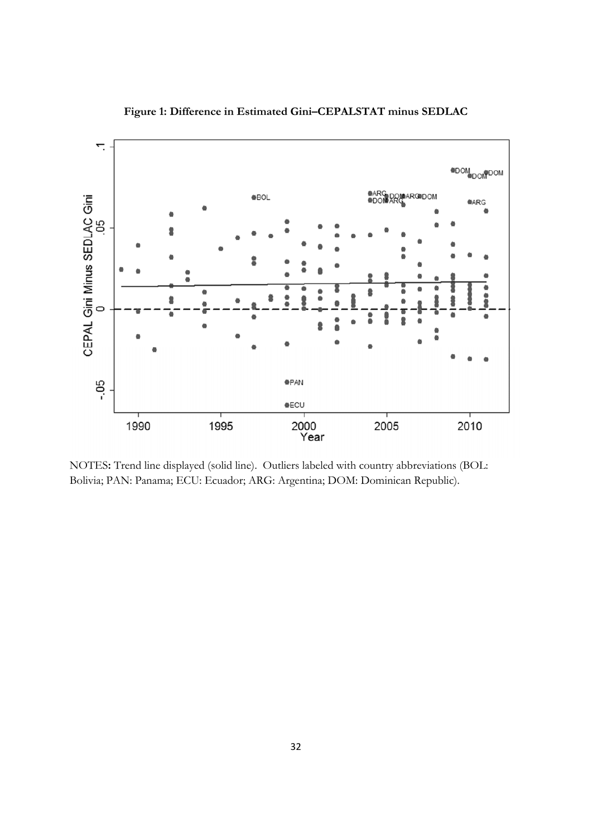

**Figure 1: Difference in Estimated Gini–CEPALSTAT minus SEDLAC** 

NOTES**:** Trend line displayed (solid line). Outliers labeled with country abbreviations (BOL: Bolivia; PAN: Panama; ECU: Ecuador; ARG: Argentina; DOM: Dominican Republic).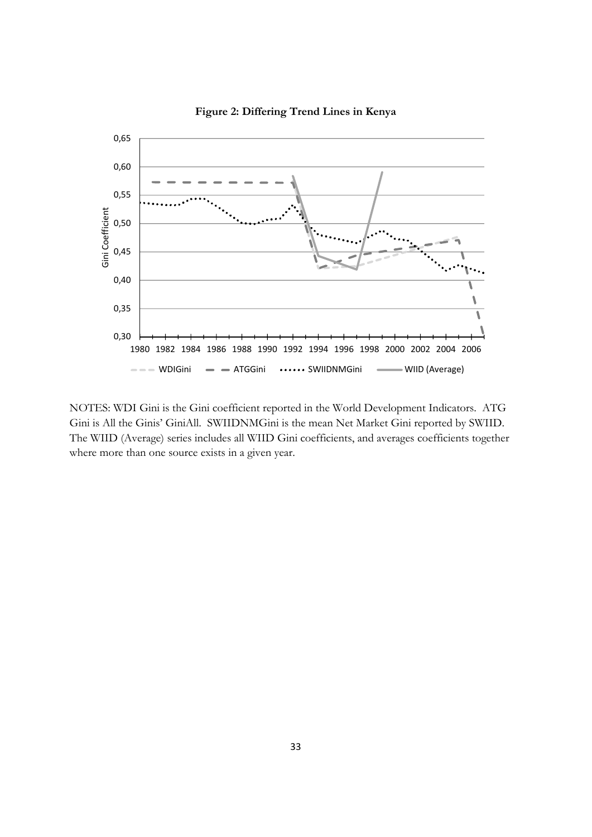

**Figure 2: Differing Trend Lines in Kenya** 

NOTES: WDI Gini is the Gini coefficient reported in the World Development Indicators. ATG Gini is All the Ginis' GiniAll. SWIIDNMGini is the mean Net Market Gini reported by SWIID. The WIID (Average) series includes all WIID Gini coefficients, and averages coefficients together where more than one source exists in a given year.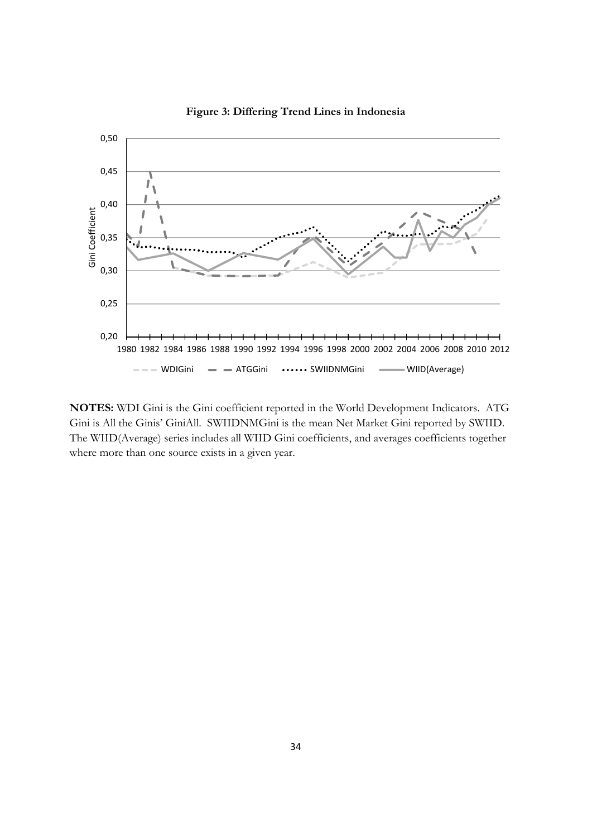

**Figure 3: Differing Trend Lines in Indonesia** 

**NOTES:** WDI Gini is the Gini coefficient reported in the World Development Indicators. ATG Gini is All the Ginis' GiniAll. SWIIDNMGini is the mean Net Market Gini reported by SWIID. The WIID(Average) series includes all WIID Gini coefficients, and averages coefficients together where more than one source exists in a given year.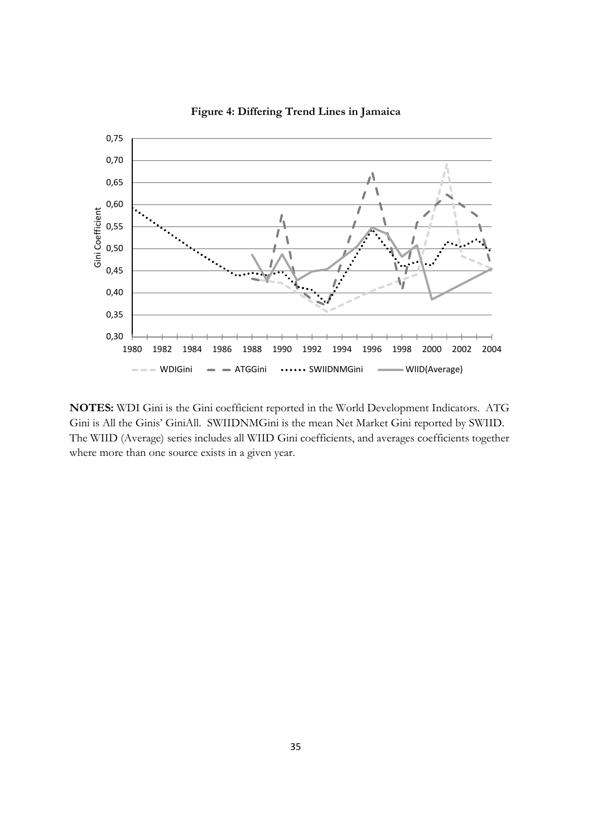

**Figure 4: Differing Trend Lines in Jamaica** 

**NOTES:** WDI Gini is the Gini coefficient reported in the World Development Indicators. ATG Gini is All the Ginis' GiniAll. SWIIDNMGini is the mean Net Market Gini reported by SWIID. The WIID (Average) series includes all WIID Gini coefficients, and averages coefficients together where more than one source exists in a given year.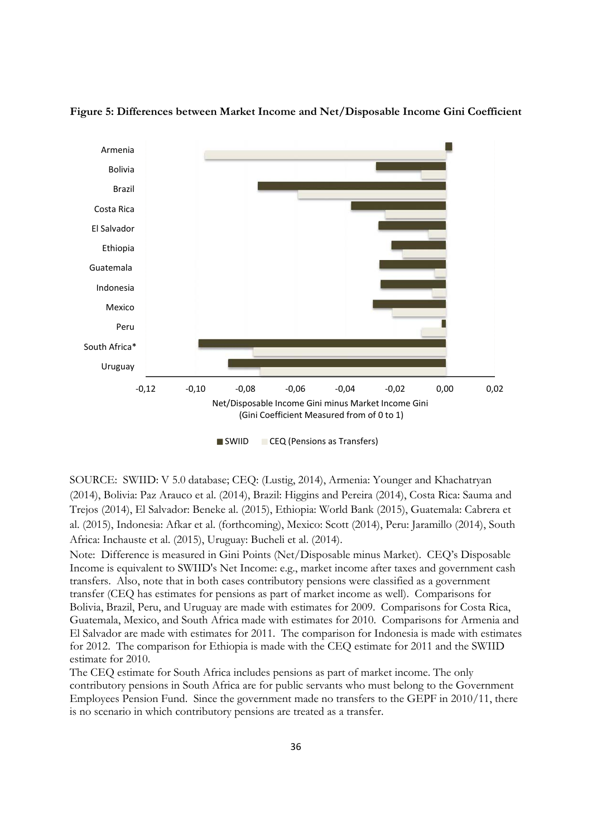

**Figure 5: Differences between Market Income and Net/Disposable Income Gini Coefficient** 

SOURCE: SWIID: V 5.0 database; CEQ: (Lustig, 2014), Armenia: Younger and Khachatryan (2014), Bolivia: Paz Arauco et al. (2014), Brazil: Higgins and Pereira (2014), Costa Rica: Sauma and Trejos (2014), El Salvador: Beneke al. (2015), Ethiopia: World Bank (2015), Guatemala: Cabrera et al. (2015), Indonesia: Afkar et al. (forthcoming), Mexico: Scott (2014), Peru: Jaramillo (2014), South Africa: Inchauste et al. (2015), Uruguay: Bucheli et al. (2014).

Note: Difference is measured in Gini Points (Net/Disposable minus Market). CEQ's Disposable Income is equivalent to SWIID's Net Income: e.g., market income after taxes and government cash transfers. Also, note that in both cases contributory pensions were classified as a government transfer (CEQ has estimates for pensions as part of market income as well). Comparisons for Bolivia, Brazil, Peru, and Uruguay are made with estimates for 2009. Comparisons for Costa Rica, Guatemala, Mexico, and South Africa made with estimates for 2010. Comparisons for Armenia and El Salvador are made with estimates for 2011. The comparison for Indonesia is made with estimates for 2012. The comparison for Ethiopia is made with the CEQ estimate for 2011 and the SWIID estimate for 2010.

The CEQ estimate for South Africa includes pensions as part of market income. The only contributory pensions in South Africa are for public servants who must belong to the Government Employees Pension Fund. Since the government made no transfers to the GEPF in 2010/11, there is no scenario in which contributory pensions are treated as a transfer.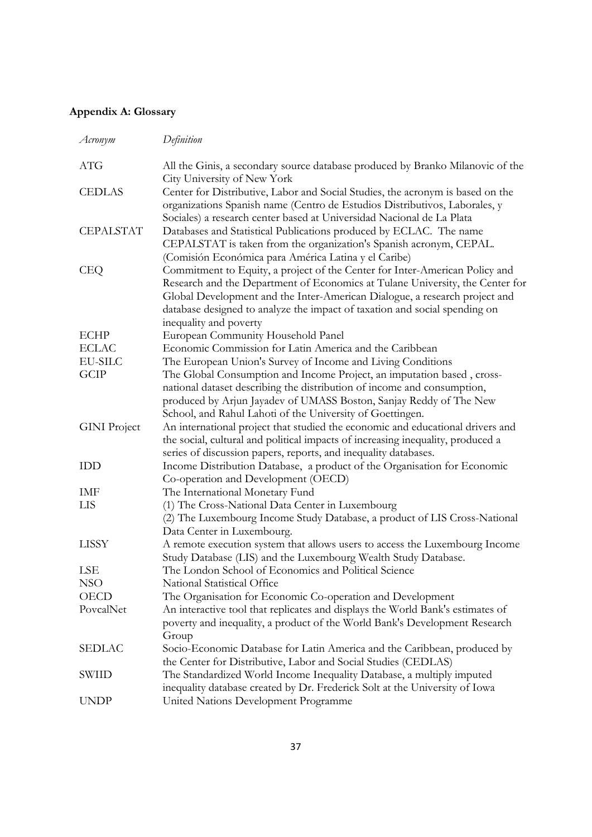## **Appendix A: Glossary**

| Acronym             | Definition                                                                                                                                                                                                                                                                                                                                         |
|---------------------|----------------------------------------------------------------------------------------------------------------------------------------------------------------------------------------------------------------------------------------------------------------------------------------------------------------------------------------------------|
| <b>ATG</b>          | All the Ginis, a secondary source database produced by Branko Milanovic of the<br>City University of New York                                                                                                                                                                                                                                      |
| <b>CEDLAS</b>       | Center for Distributive, Labor and Social Studies, the acronym is based on the<br>organizations Spanish name (Centro de Estudios Distributivos, Laborales, y                                                                                                                                                                                       |
| CEPALSTAT           | Sociales) a research center based at Universidad Nacional de La Plata<br>Databases and Statistical Publications produced by ECLAC. The name<br>CEPALSTAT is taken from the organization's Spanish acronym, CEPAL.<br>(Comisión Económica para América Latina y el Caribe)                                                                          |
| <b>CEQ</b>          | Commitment to Equity, a project of the Center for Inter-American Policy and<br>Research and the Department of Economics at Tulane University, the Center for<br>Global Development and the Inter-American Dialogue, a research project and<br>database designed to analyze the impact of taxation and social spending on<br>inequality and poverty |
| <b>ECHP</b>         | European Community Household Panel                                                                                                                                                                                                                                                                                                                 |
| <b>ECLAC</b>        | Economic Commission for Latin America and the Caribbean                                                                                                                                                                                                                                                                                            |
| <b>EU-SILC</b>      | The European Union's Survey of Income and Living Conditions                                                                                                                                                                                                                                                                                        |
| <b>GCIP</b>         | The Global Consumption and Income Project, an imputation based, cross-<br>national dataset describing the distribution of income and consumption,<br>produced by Arjun Jayadev of UMASS Boston, Sanjay Reddy of The New<br>School, and Rahul Lahoti of the University of Goettingen.                                                               |
| <b>GINI</b> Project | An international project that studied the economic and educational drivers and<br>the social, cultural and political impacts of increasing inequality, produced a<br>series of discussion papers, reports, and inequality databases.                                                                                                               |
| <b>IDD</b>          | Income Distribution Database, a product of the Organisation for Economic<br>Co-operation and Development (OECD)                                                                                                                                                                                                                                    |
| IMF                 | The International Monetary Fund                                                                                                                                                                                                                                                                                                                    |
| LIS                 | (1) The Cross-National Data Center in Luxembourg                                                                                                                                                                                                                                                                                                   |
|                     | (2) The Luxembourg Income Study Database, a product of LIS Cross-National<br>Data Center in Luxembourg.                                                                                                                                                                                                                                            |
| <b>LISSY</b>        | A remote execution system that allows users to access the Luxembourg Income<br>Study Database (LIS) and the Luxembourg Wealth Study Database.                                                                                                                                                                                                      |
| LSE                 | The London School of Economics and Political Science                                                                                                                                                                                                                                                                                               |
| <b>NSO</b>          | National Statistical Office                                                                                                                                                                                                                                                                                                                        |
| <b>OECD</b>         | The Organisation for Economic Co-operation and Development                                                                                                                                                                                                                                                                                         |
| PovcalNet           | An interactive tool that replicates and displays the World Bank's estimates of<br>poverty and inequality, a product of the World Bank's Development Research<br>Group                                                                                                                                                                              |
| <b>SEDLAC</b>       | Socio-Economic Database for Latin America and the Caribbean, produced by<br>the Center for Distributive, Labor and Social Studies (CEDLAS)                                                                                                                                                                                                         |
| <b>SWIID</b>        | The Standardized World Income Inequality Database, a multiply imputed<br>inequality database created by Dr. Frederick Solt at the University of Iowa                                                                                                                                                                                               |
| <b>UNDP</b>         | United Nations Development Programme                                                                                                                                                                                                                                                                                                               |